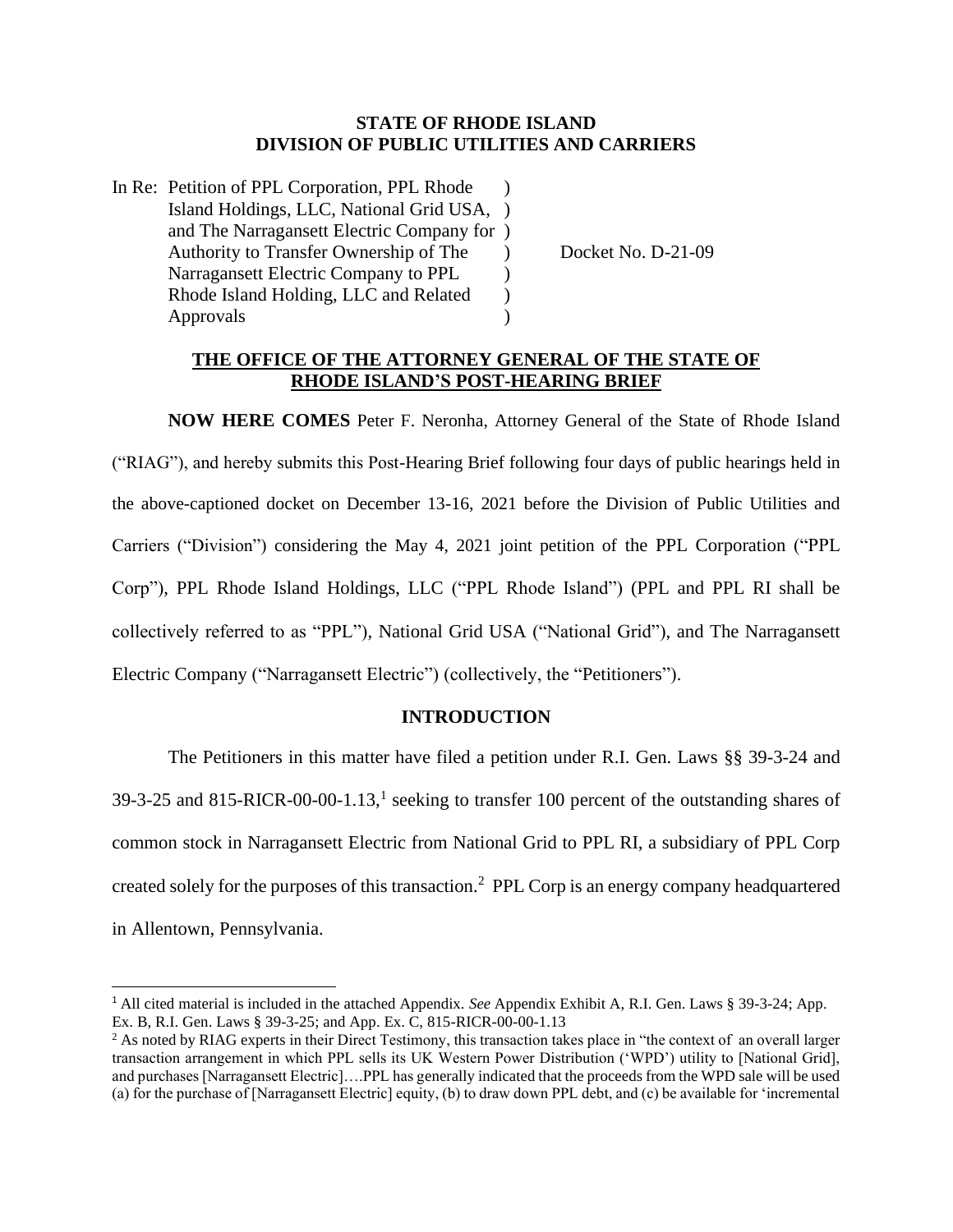## **STATE OF RHODE ISLAND DIVISION OF PUBLIC UTILITIES AND CARRIERS**

In Re: Petition of PPL Corporation, PPL Rhode ) Island Holdings, LLC, National Grid USA, ) and The Narragansett Electric Company for ) Authority to Transfer Ownership of The  $Docket No. D-21-09$ Narragansett Electric Company to PPL  $\qquad)$ Rhode Island Holding, LLC and Related  $\qquad$  ) Approvals (a)

# **THE OFFICE OF THE ATTORNEY GENERAL OF THE STATE OF RHODE ISLAND'S POST-HEARING BRIEF**

**NOW HERE COMES** Peter F. Neronha, Attorney General of the State of Rhode Island ("RIAG"), and hereby submits this Post-Hearing Brief following four days of public hearings held in the above-captioned docket on December 13-16, 2021 before the Division of Public Utilities and Carriers ("Division") considering the May 4, 2021 joint petition of the PPL Corporation ("PPL Corp"), PPL Rhode Island Holdings, LLC ("PPL Rhode Island") (PPL and PPL RI shall be collectively referred to as "PPL"), National Grid USA ("National Grid"), and The Narragansett Electric Company ("Narragansett Electric") (collectively, the "Petitioners").

# **INTRODUCTION**

The Petitioners in this matter have filed a petition under R.I. Gen. Laws §§ 39-3-24 and 39-3-25 and 815-RICR-00-00-1.13,<sup>1</sup> seeking to transfer 100 percent of the outstanding shares of common stock in Narragansett Electric from National Grid to PPL RI, a subsidiary of PPL Corp created solely for the purposes of this transaction.<sup>2</sup> PPL Corp is an energy company headquartered in Allentown, Pennsylvania.

<sup>1</sup> All cited material is included in the attached Appendix. *See* Appendix Exhibit A, R.I. Gen. Laws § 39-3-24; App. Ex. B, R.I. Gen. Laws § 39-3-25; and App. Ex. C, 815-RICR-00-00-1.13

<sup>&</sup>lt;sup>2</sup> As noted by RIAG experts in their Direct Testimony, this transaction takes place in "the context of an overall larger transaction arrangement in which PPL sells its UK Western Power Distribution ('WPD') utility to [National Grid], and purchases [Narragansett Electric]….PPL has generally indicated that the proceeds from the WPD sale will be used (a) for the purchase of [Narragansett Electric] equity, (b) to draw down PPL debt, and (c) be available for 'incremental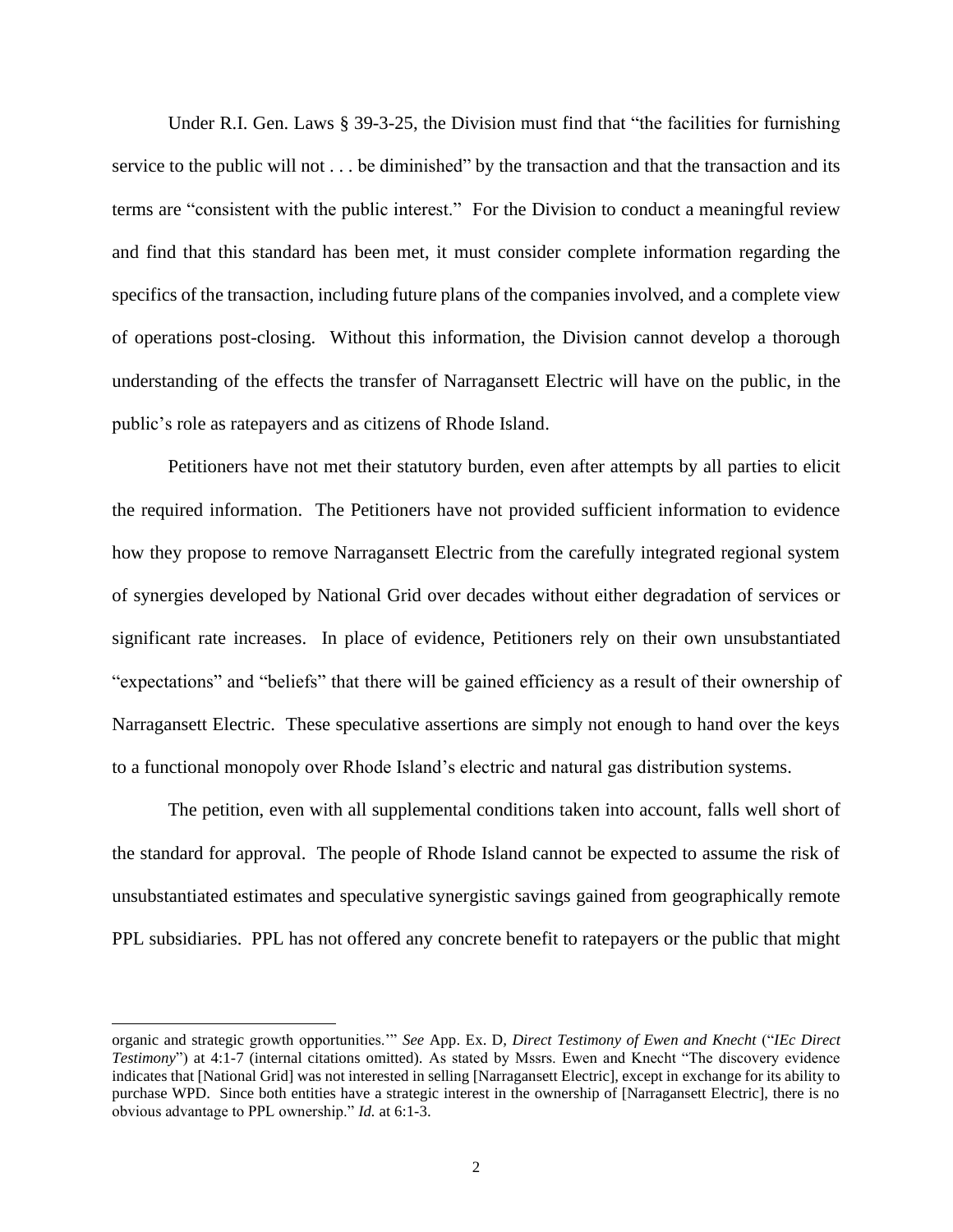Under R.I. Gen. Laws § 39-3-25, the Division must find that "the facilities for furnishing service to the public will not . . . be diminished" by the transaction and that the transaction and its terms are "consistent with the public interest." For the Division to conduct a meaningful review and find that this standard has been met, it must consider complete information regarding the specifics of the transaction, including future plans of the companies involved, and a complete view of operations post-closing. Without this information, the Division cannot develop a thorough understanding of the effects the transfer of Narragansett Electric will have on the public, in the public's role as ratepayers and as citizens of Rhode Island.

Petitioners have not met their statutory burden, even after attempts by all parties to elicit the required information. The Petitioners have not provided sufficient information to evidence how they propose to remove Narragansett Electric from the carefully integrated regional system of synergies developed by National Grid over decades without either degradation of services or significant rate increases. In place of evidence, Petitioners rely on their own unsubstantiated "expectations" and "beliefs" that there will be gained efficiency as a result of their ownership of Narragansett Electric. These speculative assertions are simply not enough to hand over the keys to a functional monopoly over Rhode Island's electric and natural gas distribution systems.

The petition, even with all supplemental conditions taken into account, falls well short of the standard for approval. The people of Rhode Island cannot be expected to assume the risk of unsubstantiated estimates and speculative synergistic savings gained from geographically remote PPL subsidiaries. PPL has not offered any concrete benefit to ratepayers or the public that might

organic and strategic growth opportunities.'" *See* App. Ex. D*, Direct Testimony of Ewen and Knecht* ("*IEc Direct Testimony*") at 4:1-7 (internal citations omitted). As stated by Mssrs. Ewen and Knecht "The discovery evidence indicates that [National Grid] was not interested in selling [Narragansett Electric], except in exchange for its ability to purchase WPD. Since both entities have a strategic interest in the ownership of [Narragansett Electric], there is no obvious advantage to PPL ownership." *Id.* at 6:1-3.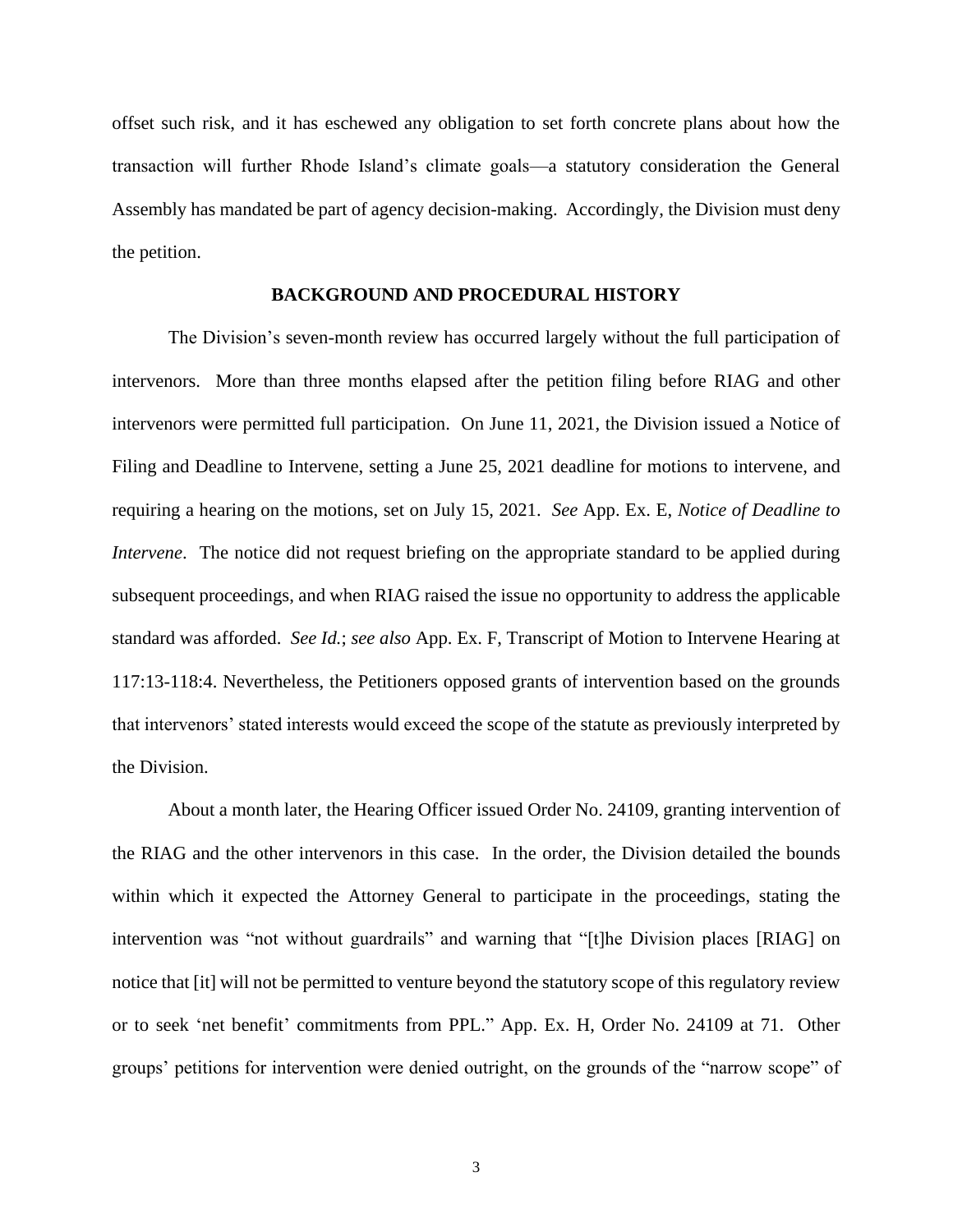offset such risk, and it has eschewed any obligation to set forth concrete plans about how the transaction will further Rhode Island's climate goals—a statutory consideration the General Assembly has mandated be part of agency decision-making. Accordingly, the Division must deny the petition.

#### **BACKGROUND AND PROCEDURAL HISTORY**

The Division's seven-month review has occurred largely without the full participation of intervenors. More than three months elapsed after the petition filing before RIAG and other intervenors were permitted full participation. On June 11, 2021, the Division issued a Notice of Filing and Deadline to Intervene, setting a June 25, 2021 deadline for motions to intervene, and requiring a hearing on the motions, set on July 15, 2021. *See* App. Ex. E, *Notice of Deadline to Intervene*. The notice did not request briefing on the appropriate standard to be applied during subsequent proceedings, and when RIAG raised the issue no opportunity to address the applicable standard was afforded. *See Id.*; *see also* App. Ex. F, Transcript of Motion to Intervene Hearing at 117:13-118:4. Nevertheless, the Petitioners opposed grants of intervention based on the grounds that intervenors' stated interests would exceed the scope of the statute as previously interpreted by the Division.

About a month later, the Hearing Officer issued Order No. 24109, granting intervention of the RIAG and the other intervenors in this case. In the order, the Division detailed the bounds within which it expected the Attorney General to participate in the proceedings, stating the intervention was "not without guardrails" and warning that "[t]he Division places [RIAG] on notice that [it] will not be permitted to venture beyond the statutory scope of this regulatory review or to seek 'net benefit' commitments from PPL." App. Ex. H, Order No. 24109 at 71. Other groups' petitions for intervention were denied outright, on the grounds of the "narrow scope" of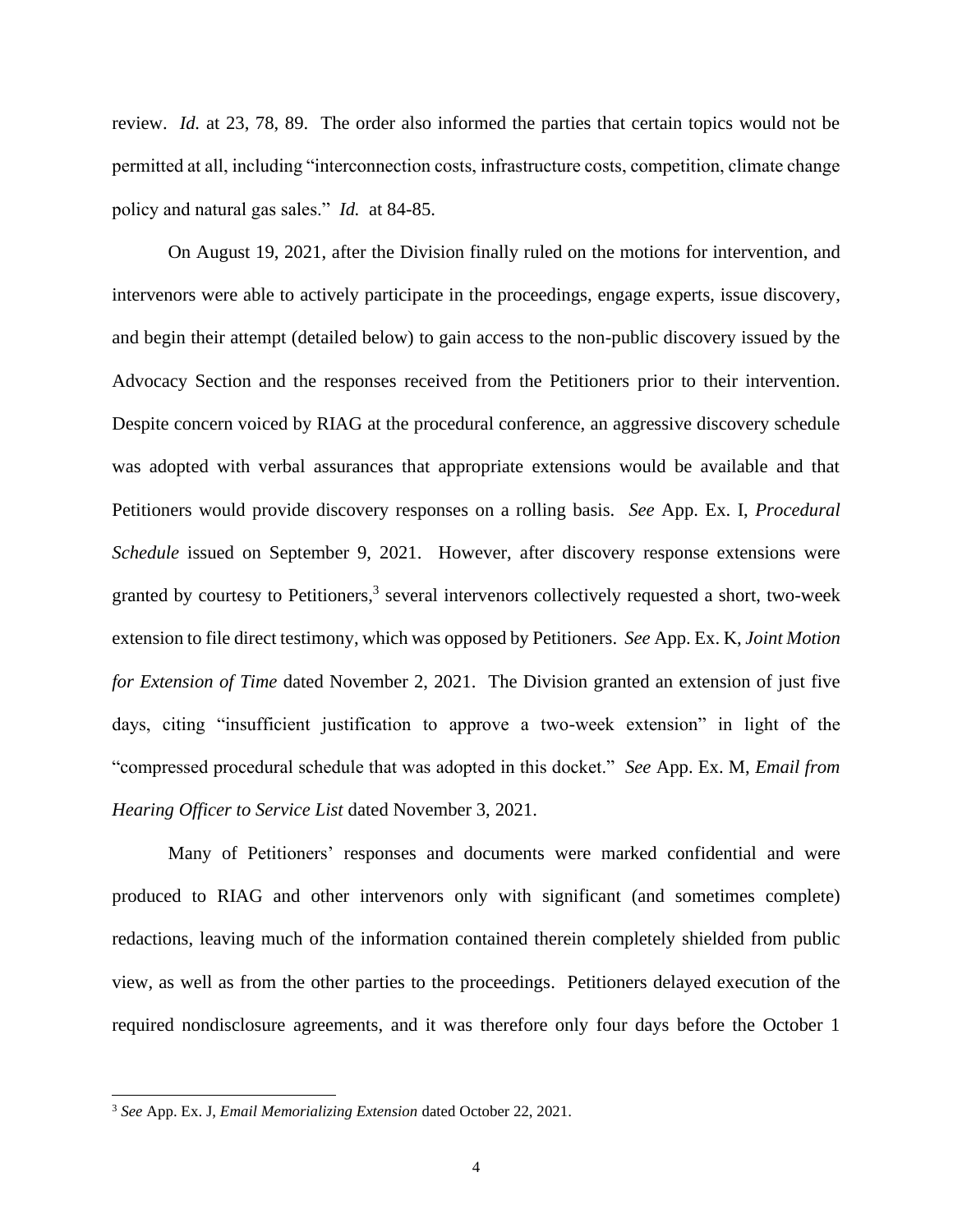review. *Id.* at 23, 78, 89. The order also informed the parties that certain topics would not be permitted at all, including "interconnection costs, infrastructure costs, competition, climate change policy and natural gas sales." *Id.* at 84-85.

On August 19, 2021, after the Division finally ruled on the motions for intervention, and intervenors were able to actively participate in the proceedings, engage experts, issue discovery, and begin their attempt (detailed below) to gain access to the non-public discovery issued by the Advocacy Section and the responses received from the Petitioners prior to their intervention. Despite concern voiced by RIAG at the procedural conference, an aggressive discovery schedule was adopted with verbal assurances that appropriate extensions would be available and that Petitioners would provide discovery responses on a rolling basis. *See* App. Ex. I, *Procedural Schedule* issued on September 9, 2021. However, after discovery response extensions were granted by courtesy to Petitioners,<sup>3</sup> several intervenors collectively requested a short, two-week extension to file direct testimony, which was opposed by Petitioners. *See* App. Ex. K, *Joint Motion for Extension of Time* dated November 2, 2021. The Division granted an extension of just five days, citing "insufficient justification to approve a two-week extension" in light of the "compressed procedural schedule that was adopted in this docket." *See* App. Ex. M, *Email from Hearing Officer to Service List* dated November 3, 2021.

Many of Petitioners' responses and documents were marked confidential and were produced to RIAG and other intervenors only with significant (and sometimes complete) redactions, leaving much of the information contained therein completely shielded from public view, as well as from the other parties to the proceedings. Petitioners delayed execution of the required nondisclosure agreements, and it was therefore only four days before the October 1

<sup>3</sup> *See* App. Ex. J, *Email Memorializing Extension* dated October 22, 2021.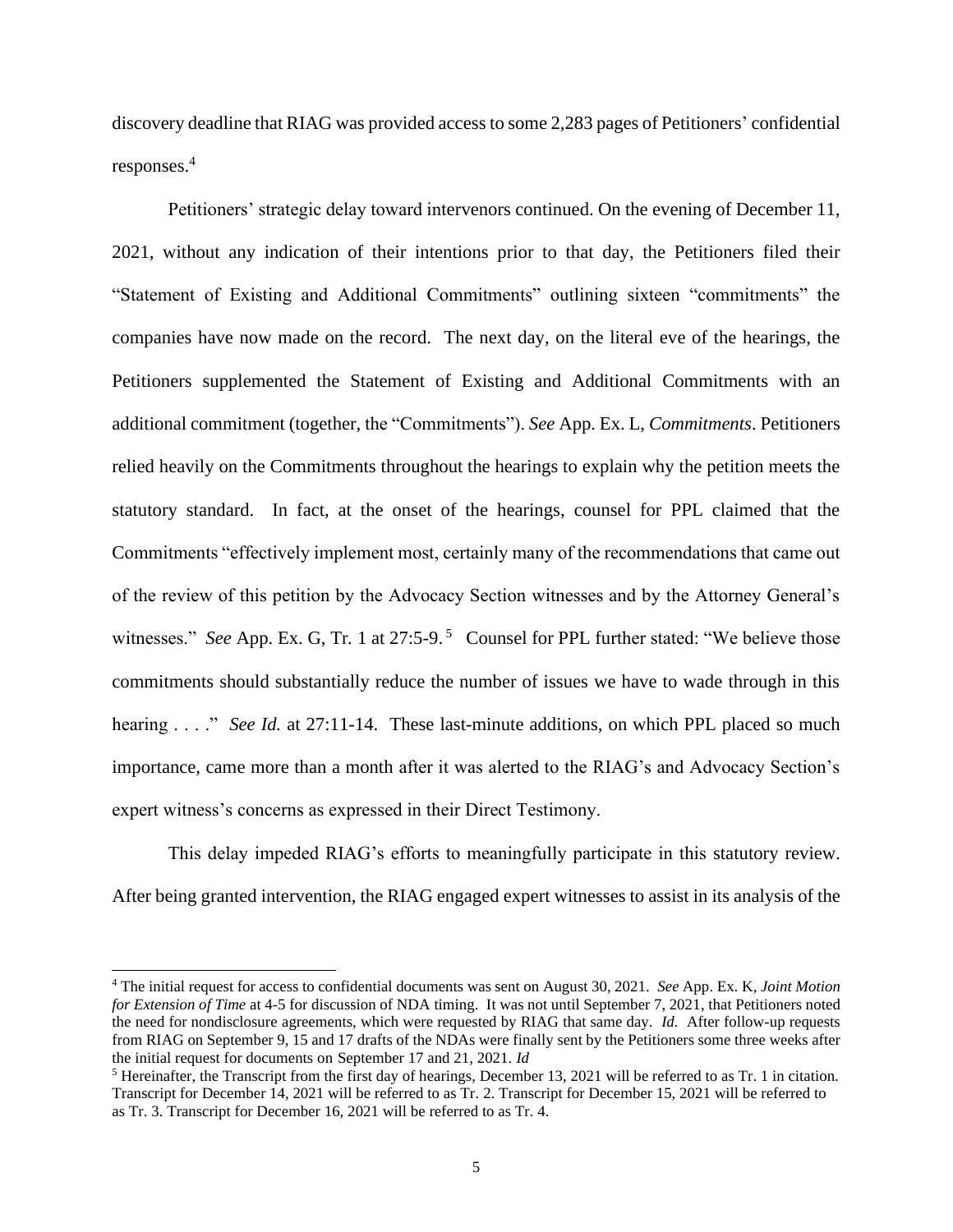discovery deadline that RIAG was provided access to some 2,283 pages of Petitioners' confidential responses.<sup>4</sup>

Petitioners' strategic delay toward intervenors continued. On the evening of December 11, 2021, without any indication of their intentions prior to that day, the Petitioners filed their "Statement of Existing and Additional Commitments" outlining sixteen "commitments" the companies have now made on the record. The next day, on the literal eve of the hearings, the Petitioners supplemented the Statement of Existing and Additional Commitments with an additional commitment (together, the "Commitments"). *See* App. Ex. L, *Commitments*. Petitioners relied heavily on the Commitments throughout the hearings to explain why the petition meets the statutory standard. In fact, at the onset of the hearings, counsel for PPL claimed that the Commitments "effectively implement most, certainly many of the recommendations that came out of the review of this petition by the Advocacy Section witnesses and by the Attorney General's witnesses." *See* App. Ex. G, Tr. 1 at 27:5-9.<sup>5</sup> Counsel for PPL further stated: "We believe those commitments should substantially reduce the number of issues we have to wade through in this hearing . . . ." *See Id.* at 27:11-14. These last-minute additions, on which PPL placed so much importance, came more than a month after it was alerted to the RIAG's and Advocacy Section's expert witness's concerns as expressed in their Direct Testimony.

This delay impeded RIAG's efforts to meaningfully participate in this statutory review. After being granted intervention, the RIAG engaged expert witnesses to assist in its analysis of the

<sup>4</sup> The initial request for access to confidential documents was sent on August 30, 2021. *See* App. Ex. K, *Joint Motion for Extension of Time* at 4-5 for discussion of NDA timing. It was not until September 7, 2021, that Petitioners noted the need for nondisclosure agreements, which were requested by RIAG that same day. *Id.* After follow-up requests from RIAG on September 9, 15 and 17 drafts of the NDAs were finally sent by the Petitioners some three weeks after the initial request for documents on September 17 and 21, 2021. *Id*

<sup>5</sup> Hereinafter, the Transcript from the first day of hearings, December 13, 2021 will be referred to as Tr. 1 in citation. Transcript for December 14, 2021 will be referred to as Tr. 2. Transcript for December 15, 2021 will be referred to as Tr. 3. Transcript for December 16, 2021 will be referred to as Tr. 4.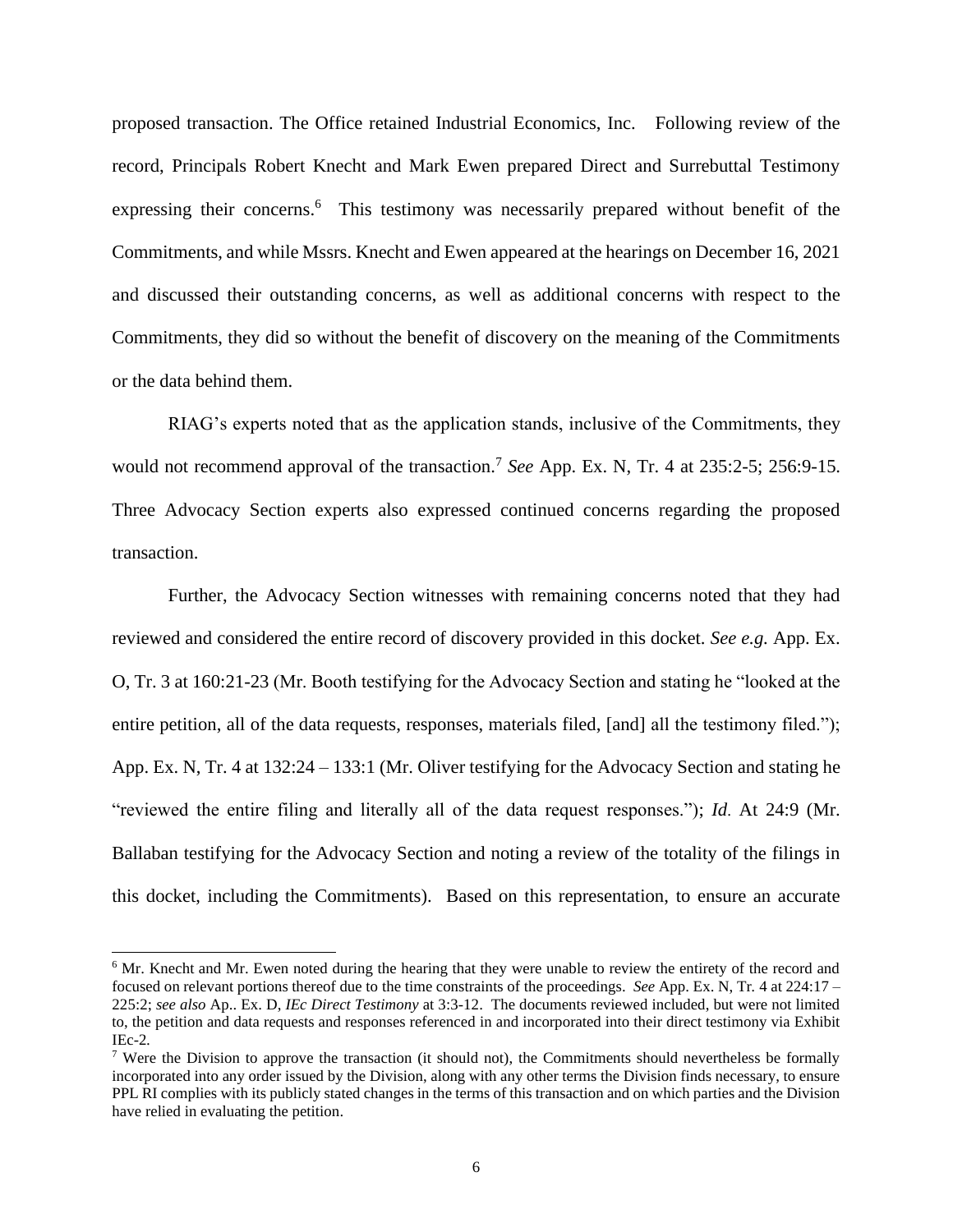proposed transaction. The Office retained Industrial Economics, Inc. Following review of the record, Principals Robert Knecht and Mark Ewen prepared Direct and Surrebuttal Testimony expressing their concerns.<sup>6</sup> This testimony was necessarily prepared without benefit of the Commitments, and while Mssrs. Knecht and Ewen appeared at the hearings on December 16, 2021 and discussed their outstanding concerns, as well as additional concerns with respect to the Commitments, they did so without the benefit of discovery on the meaning of the Commitments or the data behind them.

RIAG's experts noted that as the application stands, inclusive of the Commitments, they would not recommend approval of the transaction.<sup>7</sup> See App. Ex. N, Tr. 4 at 235:2-5; 256:9-15. Three Advocacy Section experts also expressed continued concerns regarding the proposed transaction.

Further, the Advocacy Section witnesses with remaining concerns noted that they had reviewed and considered the entire record of discovery provided in this docket. *See e.g.* App. Ex. O, Tr. 3 at 160:21-23 (Mr. Booth testifying for the Advocacy Section and stating he "looked at the entire petition, all of the data requests, responses, materials filed, [and] all the testimony filed."); App. Ex. N, Tr. 4 at 132:24 – 133:1 (Mr. Oliver testifying for the Advocacy Section and stating he "reviewed the entire filing and literally all of the data request responses."); *Id*. At 24:9 (Mr. Ballaban testifying for the Advocacy Section and noting a review of the totality of the filings in this docket, including the Commitments). Based on this representation, to ensure an accurate

<sup>&</sup>lt;sup>6</sup> Mr. Knecht and Mr. Ewen noted during the hearing that they were unable to review the entirety of the record and focused on relevant portions thereof due to the time constraints of the proceedings. *See* App. Ex. N, Tr*.* 4 at 224:17 – 225:2; *see also* Ap.. Ex. D, *IEc Direct Testimony* at 3:3-12. The documents reviewed included, but were not limited to, the petition and data requests and responses referenced in and incorporated into their direct testimony via Exhibit IEc-2*.* 

<sup>&</sup>lt;sup>7</sup> Were the Division to approve the transaction (it should not), the Commitments should nevertheless be formally incorporated into any order issued by the Division, along with any other terms the Division finds necessary, to ensure PPL RI complies with its publicly stated changes in the terms of this transaction and on which parties and the Division have relied in evaluating the petition.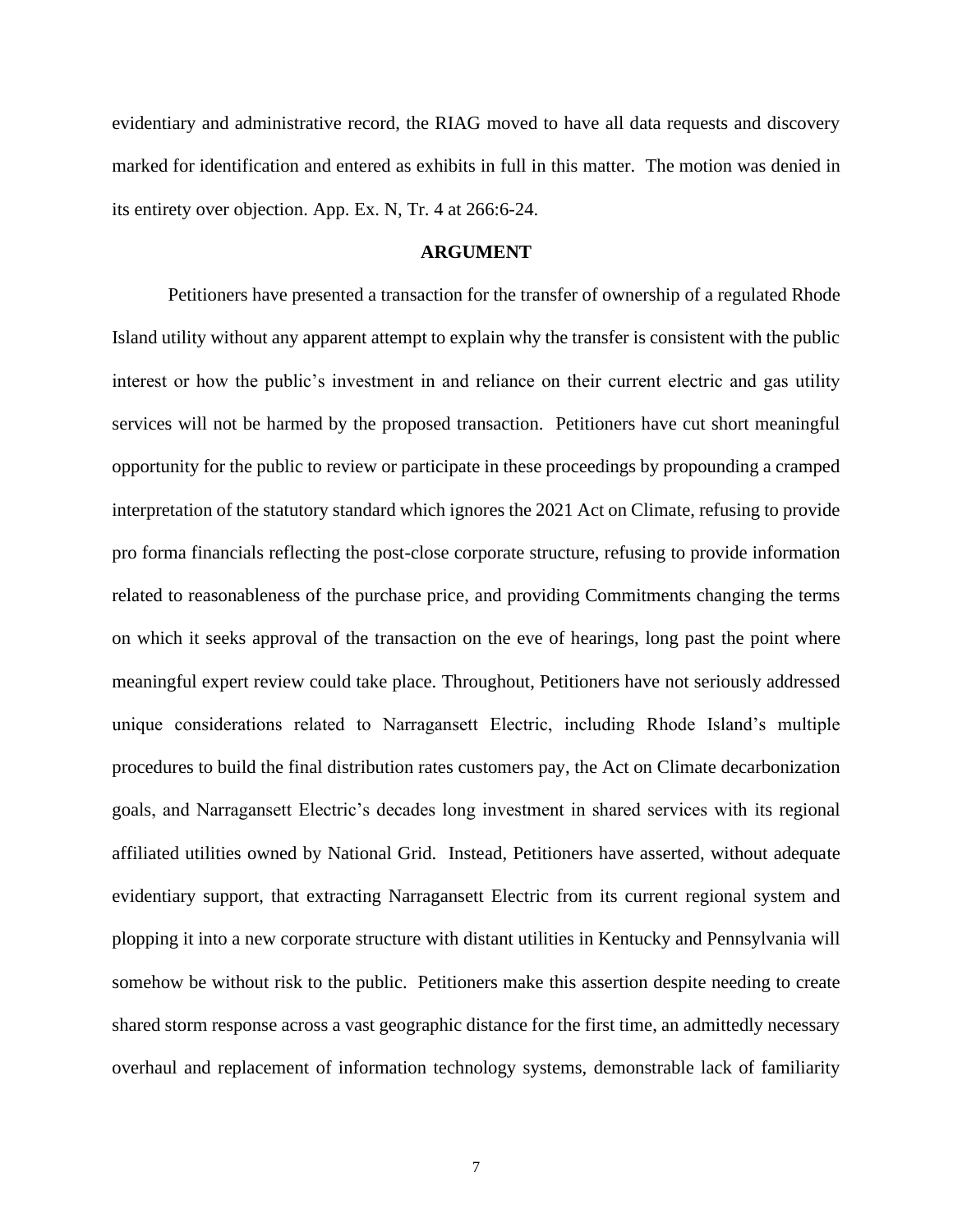evidentiary and administrative record, the RIAG moved to have all data requests and discovery marked for identification and entered as exhibits in full in this matter. The motion was denied in its entirety over objection. App. Ex. N, Tr. 4 at 266:6-24.

#### **ARGUMENT**

Petitioners have presented a transaction for the transfer of ownership of a regulated Rhode Island utility without any apparent attempt to explain why the transfer is consistent with the public interest or how the public's investment in and reliance on their current electric and gas utility services will not be harmed by the proposed transaction. Petitioners have cut short meaningful opportunity for the public to review or participate in these proceedings by propounding a cramped interpretation of the statutory standard which ignores the 2021 Act on Climate, refusing to provide pro forma financials reflecting the post-close corporate structure, refusing to provide information related to reasonableness of the purchase price, and providing Commitments changing the terms on which it seeks approval of the transaction on the eve of hearings, long past the point where meaningful expert review could take place. Throughout, Petitioners have not seriously addressed unique considerations related to Narragansett Electric, including Rhode Island's multiple procedures to build the final distribution rates customers pay, the Act on Climate decarbonization goals, and Narragansett Electric's decades long investment in shared services with its regional affiliated utilities owned by National Grid. Instead, Petitioners have asserted, without adequate evidentiary support, that extracting Narragansett Electric from its current regional system and plopping it into a new corporate structure with distant utilities in Kentucky and Pennsylvania will somehow be without risk to the public. Petitioners make this assertion despite needing to create shared storm response across a vast geographic distance for the first time, an admittedly necessary overhaul and replacement of information technology systems, demonstrable lack of familiarity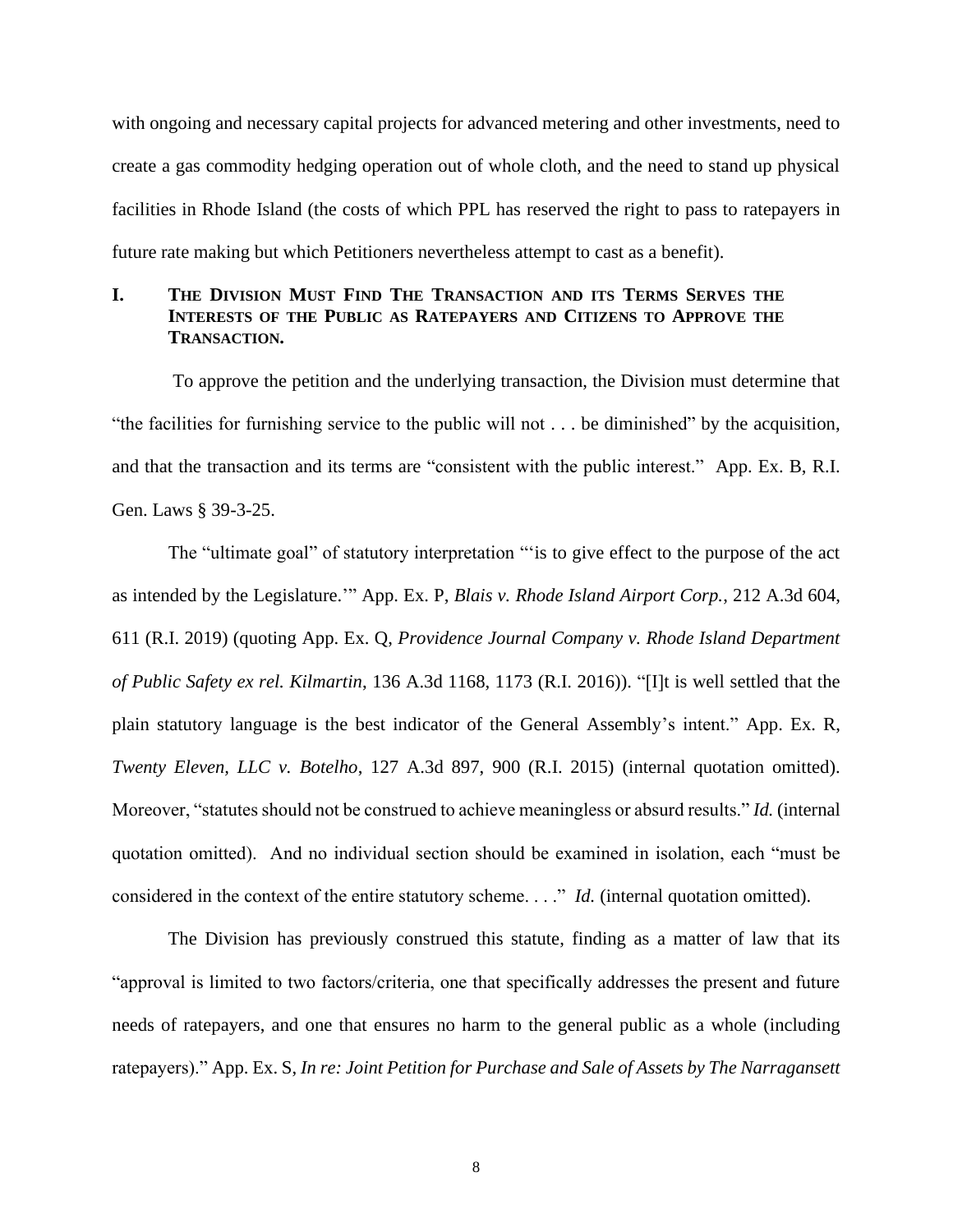with ongoing and necessary capital projects for advanced metering and other investments, need to create a gas commodity hedging operation out of whole cloth, and the need to stand up physical facilities in Rhode Island (the costs of which PPL has reserved the right to pass to ratepayers in future rate making but which Petitioners nevertheless attempt to cast as a benefit).

# **I. THE DIVISION MUST FIND THE TRANSACTION AND ITS TERMS SERVES THE INTERESTS OF THE PUBLIC AS RATEPAYERS AND CITIZENS TO APPROVE THE TRANSACTION.**

To approve the petition and the underlying transaction, the Division must determine that "the facilities for furnishing service to the public will not . . . be diminished" by the acquisition, and that the transaction and its terms are "consistent with the public interest." App. Ex. B, R.I. Gen. Laws § 39-3-25.

The "ultimate goal" of statutory interpretation "'is to give effect to the purpose of the act as intended by the Legislature.'" App. Ex. P, *Blais v. Rhode Island Airport Corp.*, 212 A.3d 604, 611 (R.I. 2019) (quoting App. Ex. Q, *Providence Journal Company v. Rhode Island Department of Public Safety ex rel. Kilmartin*, 136 A.3d 1168, 1173 (R.I. 2016)). "[I]t is well settled that the plain statutory language is the best indicator of the General Assembly's intent." App. Ex. R, *Twenty Eleven, LLC v. Botelho*, 127 A.3d 897, 900 (R.I. 2015) (internal quotation omitted). Moreover, "statutes should not be construed to achieve meaningless or absurd results." *Id.* (internal quotation omitted). And no individual section should be examined in isolation, each "must be considered in the context of the entire statutory scheme. . . ." *Id.* (internal quotation omitted).

The Division has previously construed this statute, finding as a matter of law that its "approval is limited to two factors/criteria, one that specifically addresses the present and future needs of ratepayers, and one that ensures no harm to the general public as a whole (including ratepayers)." App. Ex. S, *In re: Joint Petition for Purchase and Sale of Assets by The Narragansett*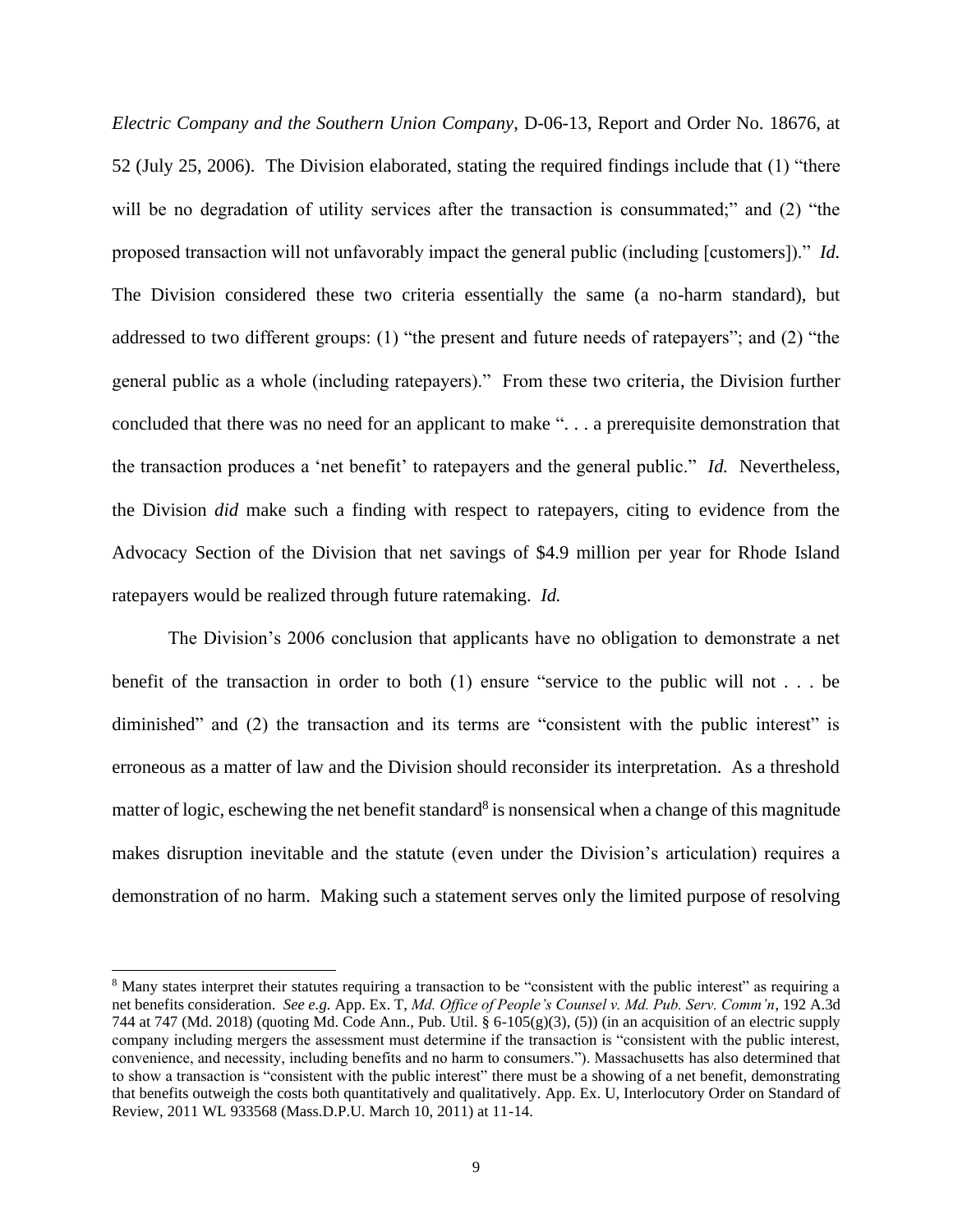*Electric Company and the Southern Union Company*, D-06-13, Report and Order No. 18676, at 52 (July 25, 2006). The Division elaborated, stating the required findings include that (1) "there will be no degradation of utility services after the transaction is consummated;" and (2) "the proposed transaction will not unfavorably impact the general public (including [customers])." *Id.* The Division considered these two criteria essentially the same (a no-harm standard), but addressed to two different groups: (1) "the present and future needs of ratepayers"; and (2) "the general public as a whole (including ratepayers)." From these two criteria, the Division further concluded that there was no need for an applicant to make ". . . a prerequisite demonstration that the transaction produces a 'net benefit' to ratepayers and the general public." *Id.* Nevertheless, the Division *did* make such a finding with respect to ratepayers, citing to evidence from the Advocacy Section of the Division that net savings of \$4.9 million per year for Rhode Island ratepayers would be realized through future ratemaking. *Id.*

The Division's 2006 conclusion that applicants have no obligation to demonstrate a net benefit of the transaction in order to both (1) ensure "service to the public will not . . . be diminished" and (2) the transaction and its terms are "consistent with the public interest" is erroneous as a matter of law and the Division should reconsider its interpretation. As a threshold matter of logic, eschewing the net benefit standard<sup>8</sup> is nonsensical when a change of this magnitude makes disruption inevitable and the statute (even under the Division's articulation) requires a demonstration of no harm. Making such a statement serves only the limited purpose of resolving

<sup>8</sup> Many states interpret their statutes requiring a transaction to be "consistent with the public interest" as requiring a net benefits consideration. *See e.g.* App. Ex. T, *Md. Office of People's Counsel v. Md. Pub. Serv. Comm'n*, 192 A.3d 744 at 747 (Md. 2018) (quoting Md. Code Ann., Pub. Util.  $\S 6-105(g)(3)$ , (5)) (in an acquisition of an electric supply company including mergers the assessment must determine if the transaction is "consistent with the public interest, convenience, and necessity, including benefits and no harm to consumers."). Massachusetts has also determined that to show a transaction is "consistent with the public interest" there must be a showing of a net benefit, demonstrating that benefits outweigh the costs both quantitatively and qualitatively. App. Ex. U, Interlocutory Order on Standard of Review, 2011 WL 933568 (Mass.D.P.U. March 10, 2011) at 11-14.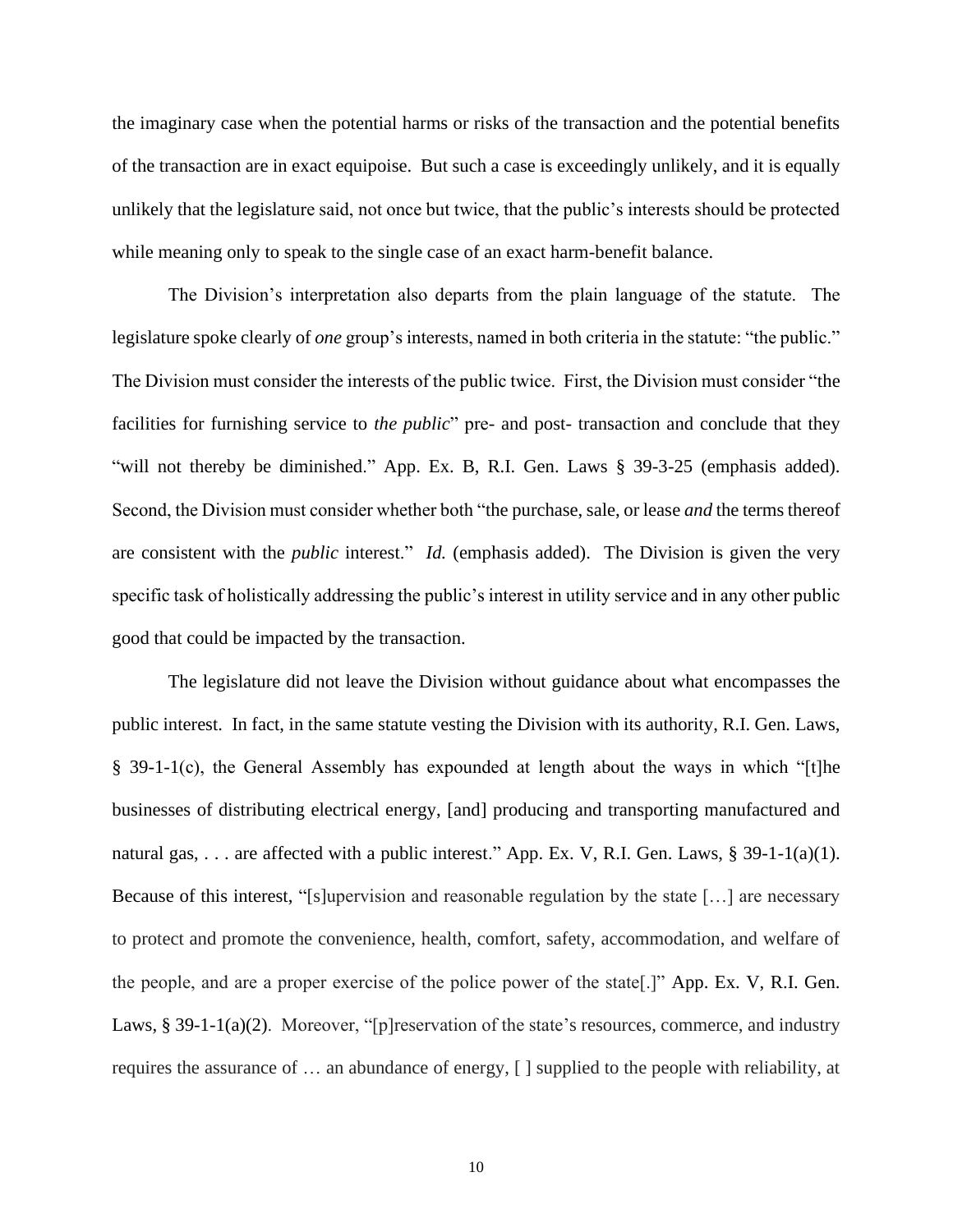the imaginary case when the potential harms or risks of the transaction and the potential benefits of the transaction are in exact equipoise. But such a case is exceedingly unlikely, and it is equally unlikely that the legislature said, not once but twice, that the public's interests should be protected while meaning only to speak to the single case of an exact harm-benefit balance.

The Division's interpretation also departs from the plain language of the statute. The legislature spoke clearly of *one* group's interests, named in both criteria in the statute: "the public." The Division must consider the interests of the public twice. First, the Division must consider "the facilities for furnishing service to *the public*" pre- and post- transaction and conclude that they "will not thereby be diminished." App. Ex. B, R.I. Gen. Laws § 39-3-25 (emphasis added). Second, the Division must consider whether both "the purchase, sale, or lease *and* the terms thereof are consistent with the *public* interest." *Id.* (emphasis added). The Division is given the very specific task of holistically addressing the public's interest in utility service and in any other public good that could be impacted by the transaction.

The legislature did not leave the Division without guidance about what encompasses the public interest. In fact, in the same statute vesting the Division with its authority, R.I. Gen. Laws, § 39-1-1(c), the General Assembly has expounded at length about the ways in which "[t]he businesses of distributing electrical energy, [and] producing and transporting manufactured and natural gas, . . . are affected with a public interest." App. Ex. V, R.I. Gen. Laws, § 39-1-1(a)(1). Because of this interest, "[s]upervision and reasonable regulation by the state […] are necessary to protect and promote the convenience, health, comfort, safety, accommodation, and welfare of the people, and are a proper exercise of the police power of the state[.]" App. Ex. V, R.I. Gen. Laws, § 39-1-1(a)(2). Moreover, "[p]reservation of the state's resources, commerce, and industry requires the assurance of … an abundance of energy, [ ] supplied to the people with reliability, at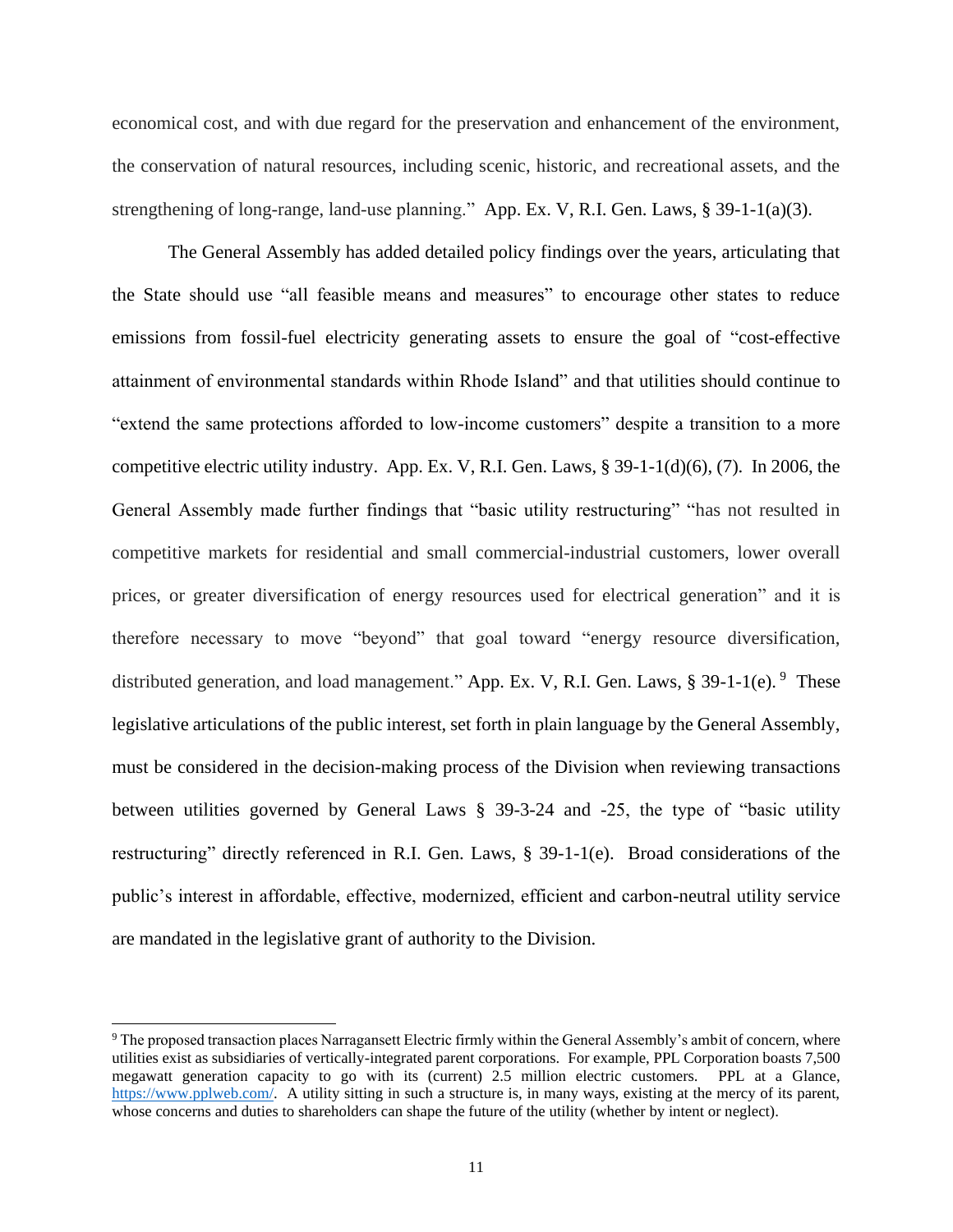economical cost, and with due regard for the preservation and enhancement of the environment, the conservation of natural resources, including scenic, historic, and recreational assets, and the strengthening of long-range, land-use planning." App. Ex. V, R.I. Gen. Laws, § 39-1-1(a)(3).

The General Assembly has added detailed policy findings over the years, articulating that the State should use "all feasible means and measures" to encourage other states to reduce emissions from fossil-fuel electricity generating assets to ensure the goal of "cost-effective attainment of environmental standards within Rhode Island" and that utilities should continue to "extend the same protections afforded to low-income customers" despite a transition to a more competitive electric utility industry. App. Ex. V, R.I. Gen. Laws, § 39-1-1(d)(6), (7). In 2006, the General Assembly made further findings that "basic utility restructuring" "has not resulted in competitive markets for residential and small commercial-industrial customers, lower overall prices, or greater diversification of energy resources used for electrical generation" and it is therefore necessary to move "beyond" that goal toward "energy resource diversification, distributed generation, and load management." App. Ex. V, R.I. Gen. Laws, § 39-1-1(e). <sup>9</sup> These legislative articulations of the public interest, set forth in plain language by the General Assembly, must be considered in the decision-making process of the Division when reviewing transactions between utilities governed by General Laws § 39-3-24 and -25, the type of "basic utility restructuring" directly referenced in R.I. Gen. Laws, § 39-1-1(e). Broad considerations of the public's interest in affordable, effective, modernized, efficient and carbon-neutral utility service are mandated in the legislative grant of authority to the Division.

<sup>9</sup> The proposed transaction places Narragansett Electric firmly within the General Assembly's ambit of concern, where utilities exist as subsidiaries of vertically-integrated parent corporations. For example, PPL Corporation boasts 7,500 megawatt generation capacity to go with its (current) 2.5 million electric customers. PPL at a Glance, [https://www.pplweb.com/.](https://www.pplweb.com/) A utility sitting in such a structure is, in many ways, existing at the mercy of its parent, whose concerns and duties to shareholders can shape the future of the utility (whether by intent or neglect).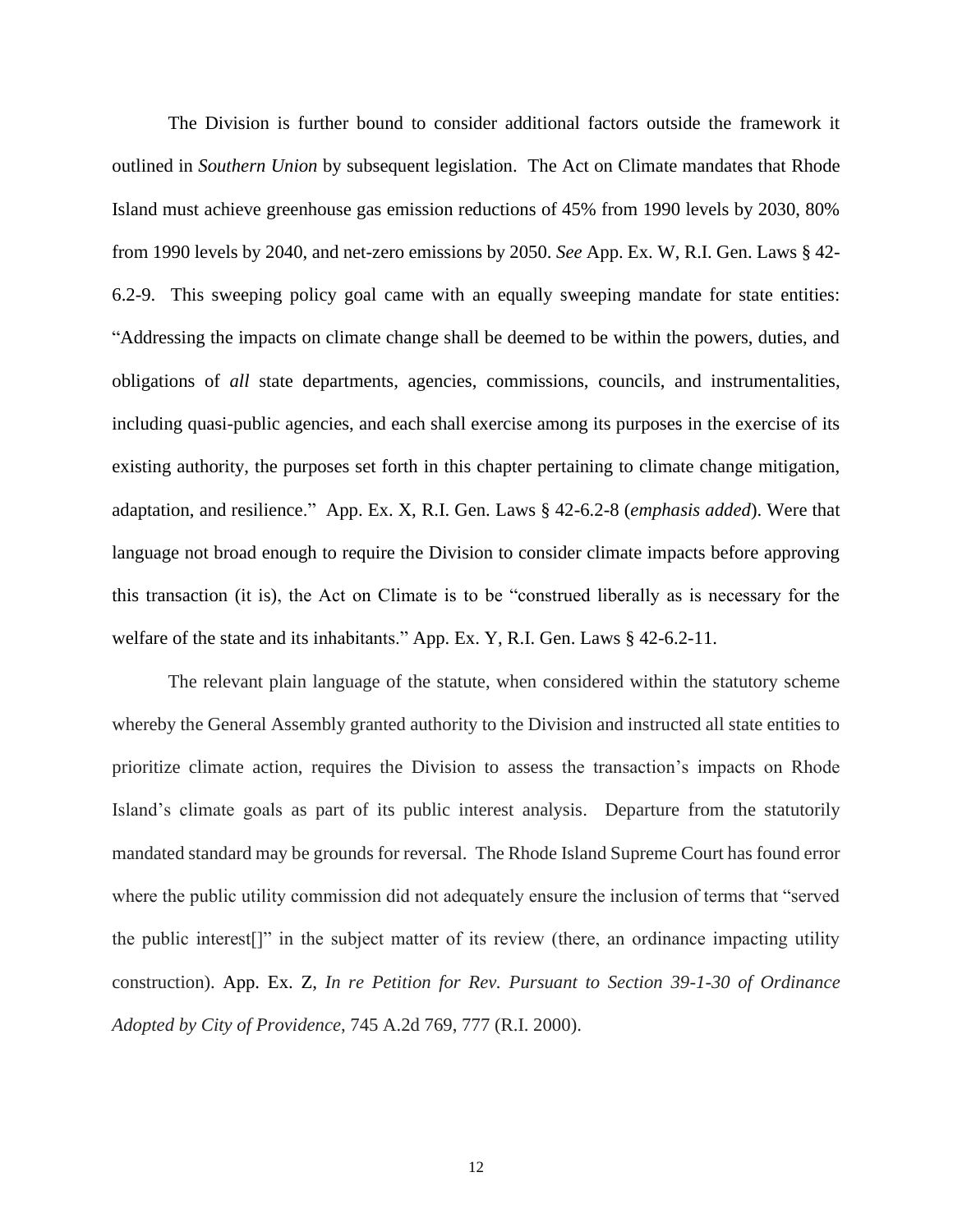The Division is further bound to consider additional factors outside the framework it outlined in *Southern Union* by subsequent legislation. The Act on Climate mandates that Rhode Island must achieve greenhouse gas emission reductions of 45% from 1990 levels by 2030, 80% from 1990 levels by 2040, and net-zero emissions by 2050. *See* App. Ex. W, R.I. Gen. Laws § 42- 6.2-9. This sweeping policy goal came with an equally sweeping mandate for state entities: "Addressing the impacts on climate change shall be deemed to be within the powers, duties, and obligations of *all* state departments, agencies, commissions, councils, and instrumentalities, including quasi-public agencies, and each shall exercise among its purposes in the exercise of its existing authority, the purposes set forth in this chapter pertaining to climate change mitigation, adaptation, and resilience." App. Ex. X, R.I. Gen. Laws § 42-6.2-8 (*emphasis added*). Were that language not broad enough to require the Division to consider climate impacts before approving this transaction (it is), the Act on Climate is to be "construed liberally as is necessary for the welfare of the state and its inhabitants." App. Ex. Y, R.I. Gen. Laws § 42-6.2-11.

The relevant plain language of the statute, when considered within the statutory scheme whereby the General Assembly granted authority to the Division and instructed all state entities to prioritize climate action, requires the Division to assess the transaction's impacts on Rhode Island's climate goals as part of its public interest analysis. Departure from the statutorily mandated standard may be grounds for reversal. The Rhode Island Supreme Court has found error where the public utility commission did not adequately ensure the inclusion of terms that "served the public interest[]" in the subject matter of its review (there, an ordinance impacting utility construction). App. Ex. Z, *In re Petition for Rev. Pursuant to Section 39-1-30 of Ordinance Adopted by City of Providence*, 745 A.2d 769, 777 (R.I. 2000).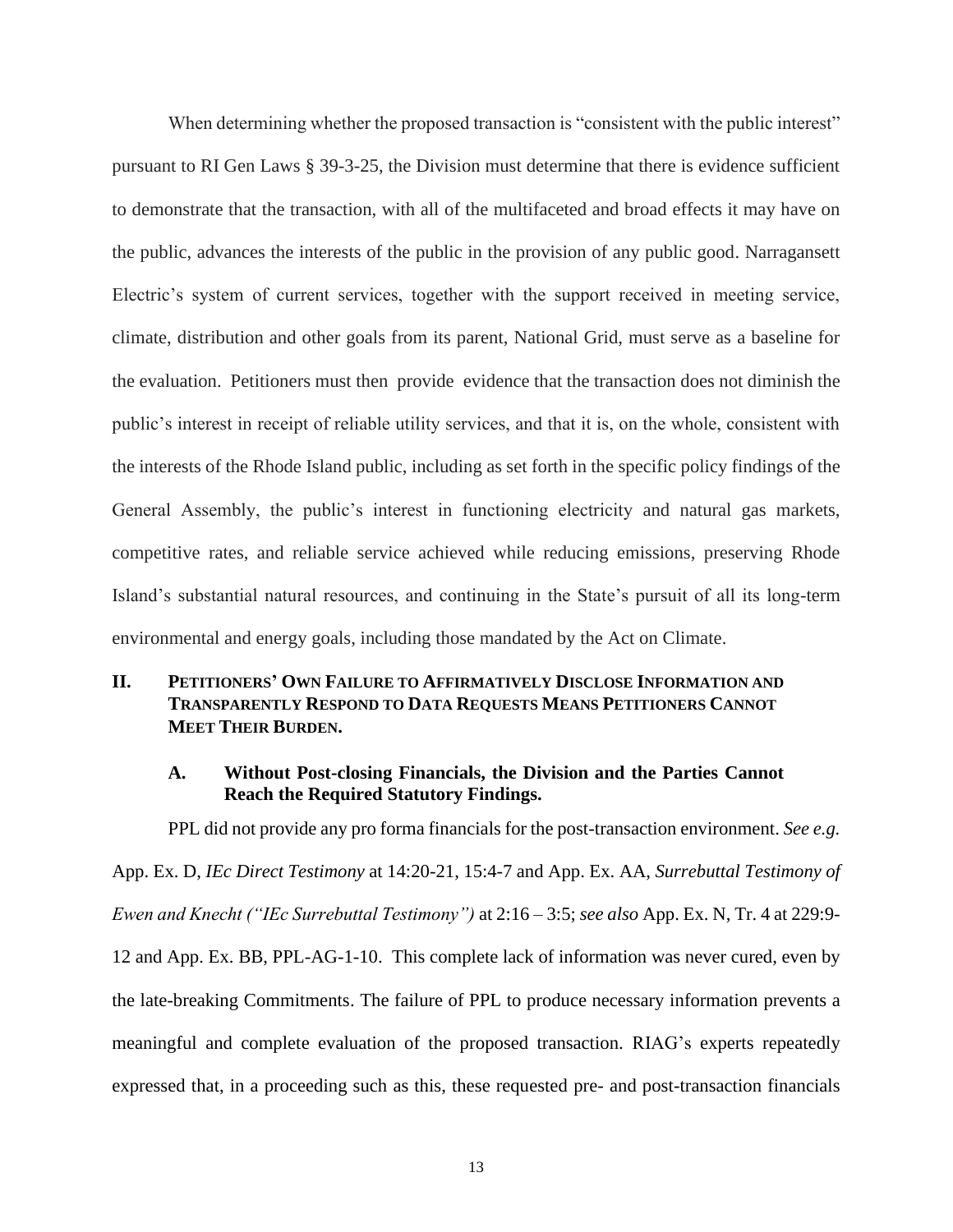When determining whether the proposed transaction is "consistent with the public interest" pursuant to RI Gen Laws § 39-3-25, the Division must determine that there is evidence sufficient to demonstrate that the transaction, with all of the multifaceted and broad effects it may have on the public, advances the interests of the public in the provision of any public good. Narragansett Electric's system of current services, together with the support received in meeting service, climate, distribution and other goals from its parent, National Grid, must serve as a baseline for the evaluation. Petitioners must then provide evidence that the transaction does not diminish the public's interest in receipt of reliable utility services, and that it is, on the whole, consistent with the interests of the Rhode Island public, including as set forth in the specific policy findings of the General Assembly, the public's interest in functioning electricity and natural gas markets, competitive rates, and reliable service achieved while reducing emissions, preserving Rhode Island's substantial natural resources, and continuing in the State's pursuit of all its long-term environmental and energy goals, including those mandated by the Act on Climate.

# **II. PETITIONERS' OWN FAILURE TO AFFIRMATIVELY DISCLOSE INFORMATION AND TRANSPARENTLY RESPOND TO DATA REQUESTS MEANS PETITIONERS CANNOT MEET THEIR BURDEN.**

#### **A. Without Post-closing Financials, the Division and the Parties Cannot Reach the Required Statutory Findings.**

PPL did not provide any pro forma financials for the post-transaction environment. *See e.g.*

App. Ex. D, *IEc Direct Testimony* at 14:20-21, 15:4-7 and App. Ex. AA, *Surrebuttal Testimony of Ewen and Knecht ("IEc Surrebuttal Testimony")* at 2:16 – 3:5; *see also* App. Ex. N, Tr. 4 at 229:9- 12 and App. Ex. BB, PPL-AG-1-10. This complete lack of information was never cured, even by the late-breaking Commitments. The failure of PPL to produce necessary information prevents a meaningful and complete evaluation of the proposed transaction. RIAG's experts repeatedly expressed that, in a proceeding such as this, these requested pre- and post-transaction financials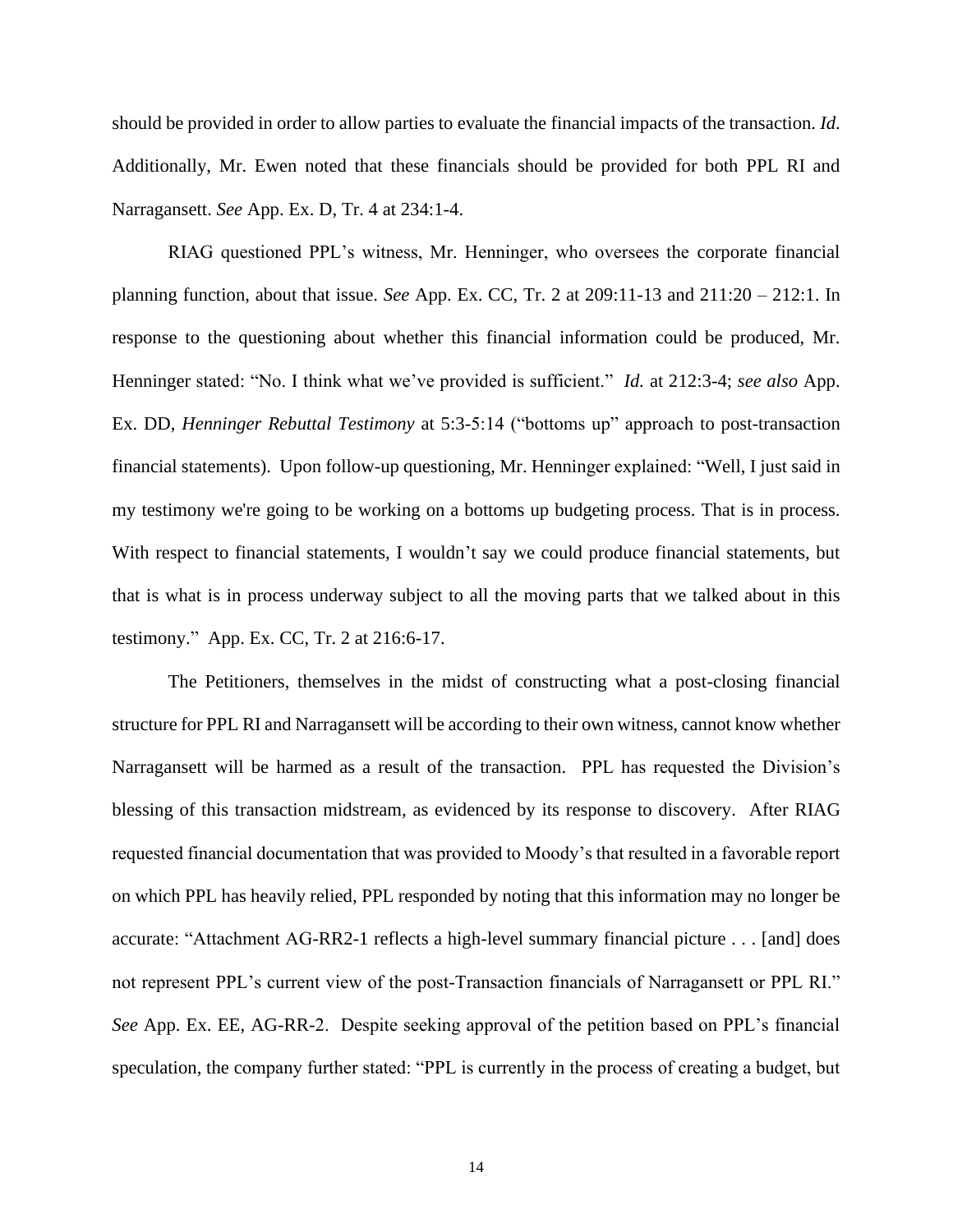should be provided in order to allow parties to evaluate the financial impacts of the transaction. *Id*. Additionally, Mr. Ewen noted that these financials should be provided for both PPL RI and Narragansett. *See* App. Ex. D, Tr. 4 at 234:1-4.

RIAG questioned PPL's witness, Mr. Henninger, who oversees the corporate financial planning function, about that issue. *See* App. Ex. CC, Tr. 2 at 209:11-13 and 211:20 – 212:1. In response to the questioning about whether this financial information could be produced, Mr. Henninger stated: "No. I think what we've provided is sufficient." *Id.* at 212:3-4; *see also* App. Ex. DD, *Henninger Rebuttal Testimony* at 5:3-5:14 ("bottoms up" approach to post-transaction financial statements). Upon follow-up questioning, Mr. Henninger explained: "Well, I just said in my testimony we're going to be working on a bottoms up budgeting process. That is in process. With respect to financial statements, I wouldn't say we could produce financial statements, but that is what is in process underway subject to all the moving parts that we talked about in this testimony." App. Ex. CC, Tr. 2 at 216:6-17.

The Petitioners, themselves in the midst of constructing what a post-closing financial structure for PPL RI and Narragansett will be according to their own witness, cannot know whether Narragansett will be harmed as a result of the transaction. PPL has requested the Division's blessing of this transaction midstream, as evidenced by its response to discovery. After RIAG requested financial documentation that was provided to Moody's that resulted in a favorable report on which PPL has heavily relied, PPL responded by noting that this information may no longer be accurate: "Attachment AG-RR2-1 reflects a high-level summary financial picture . . . [and] does not represent PPL's current view of the post-Transaction financials of Narragansett or PPL RI." *See* App. Ex. EE, AG-RR-2. Despite seeking approval of the petition based on PPL's financial speculation, the company further stated: "PPL is currently in the process of creating a budget, but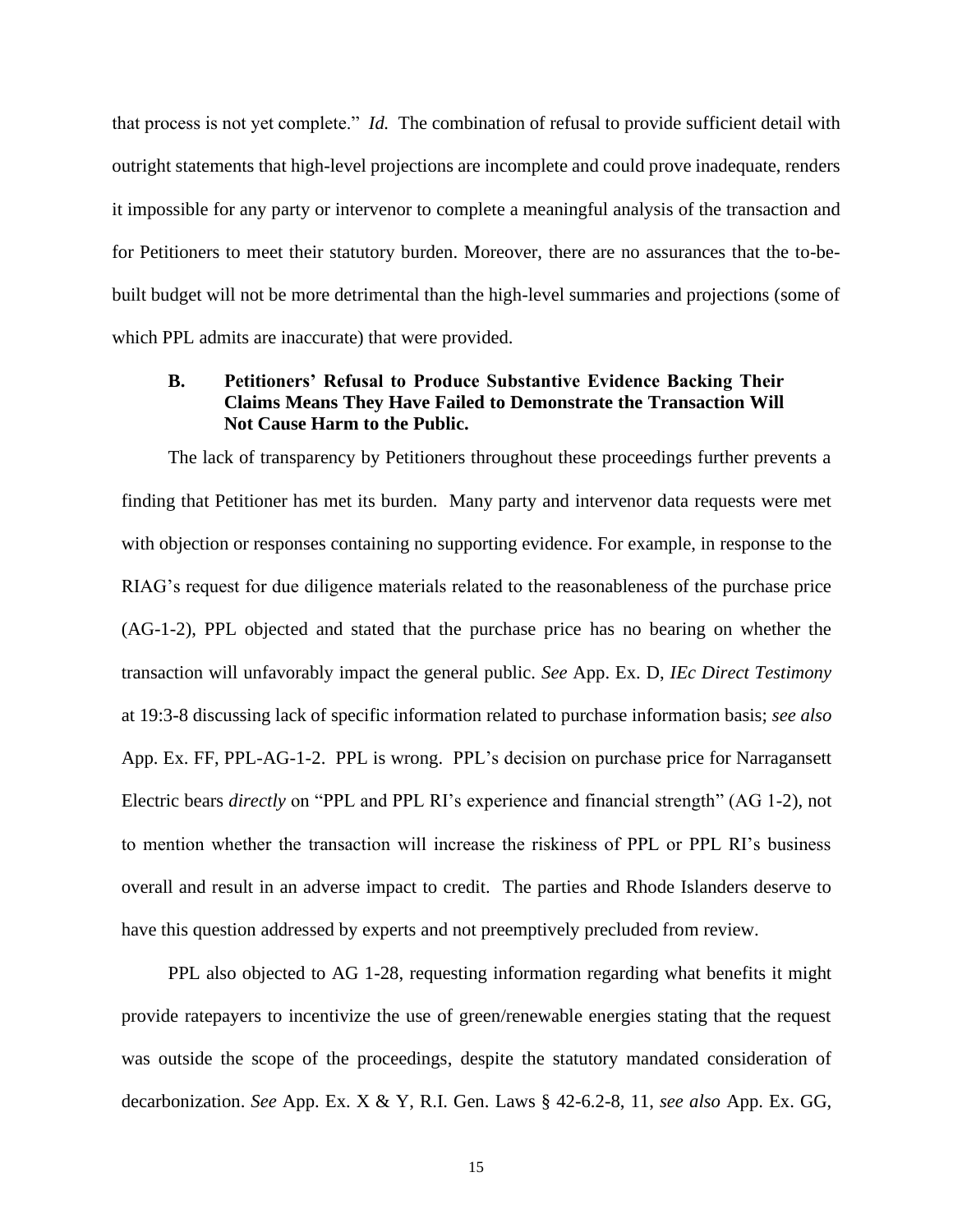that process is not yet complete." *Id.* The combination of refusal to provide sufficient detail with outright statements that high-level projections are incomplete and could prove inadequate, renders it impossible for any party or intervenor to complete a meaningful analysis of the transaction and for Petitioners to meet their statutory burden. Moreover, there are no assurances that the to-bebuilt budget will not be more detrimental than the high-level summaries and projections (some of which PPL admits are inaccurate) that were provided.

## **B. Petitioners' Refusal to Produce Substantive Evidence Backing Their Claims Means They Have Failed to Demonstrate the Transaction Will Not Cause Harm to the Public.**

The lack of transparency by Petitioners throughout these proceedings further prevents a finding that Petitioner has met its burden. Many party and intervenor data requests were met with objection or responses containing no supporting evidence. For example, in response to the RIAG's request for due diligence materials related to the reasonableness of the purchase price (AG-1-2), PPL objected and stated that the purchase price has no bearing on whether the transaction will unfavorably impact the general public. *See* App. Ex. D, *IEc Direct Testimony*  at 19:3-8 discussing lack of specific information related to purchase information basis; *see also* App. Ex. FF, PPL-AG-1-2. PPL is wrong. PPL's decision on purchase price for Narragansett Electric bears *directly* on "PPL and PPL RI's experience and financial strength" (AG 1-2), not to mention whether the transaction will increase the riskiness of PPL or PPL RI's business overall and result in an adverse impact to credit. The parties and Rhode Islanders deserve to have this question addressed by experts and not preemptively precluded from review.

PPL also objected to AG 1-28, requesting information regarding what benefits it might provide ratepayers to incentivize the use of green/renewable energies stating that the request was outside the scope of the proceedings, despite the statutory mandated consideration of decarbonization. *See* App. Ex. X & Y, R.I. Gen. Laws § 42-6.2-8, 11, *see also* App. Ex. GG,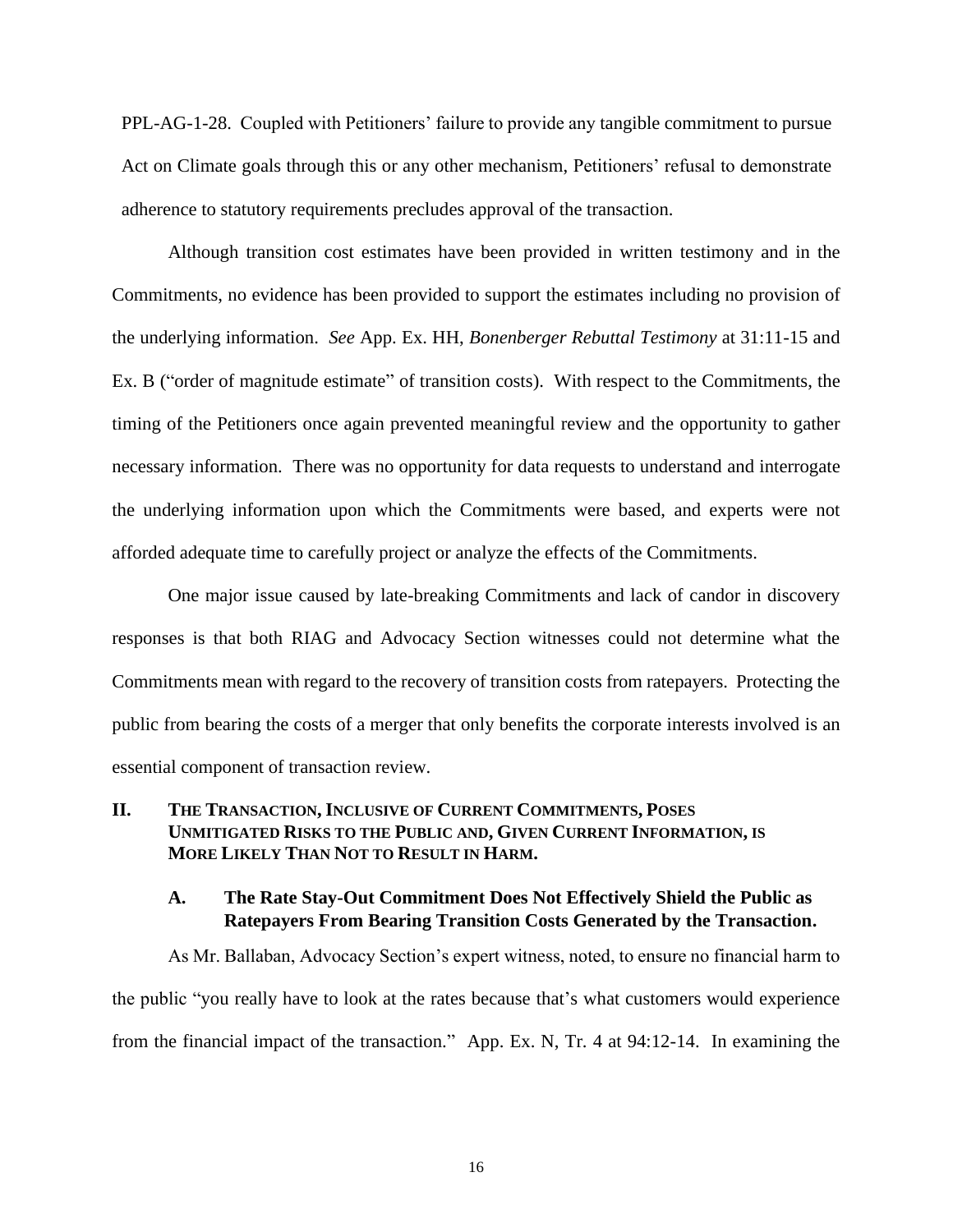PPL-AG-1-28. Coupled with Petitioners' failure to provide any tangible commitment to pursue Act on Climate goals through this or any other mechanism, Petitioners' refusal to demonstrate adherence to statutory requirements precludes approval of the transaction.

Although transition cost estimates have been provided in written testimony and in the Commitments, no evidence has been provided to support the estimates including no provision of the underlying information. *See* App. Ex. HH, *Bonenberger Rebuttal Testimony* at 31:11-15 and Ex. B ("order of magnitude estimate" of transition costs). With respect to the Commitments, the timing of the Petitioners once again prevented meaningful review and the opportunity to gather necessary information. There was no opportunity for data requests to understand and interrogate the underlying information upon which the Commitments were based, and experts were not afforded adequate time to carefully project or analyze the effects of the Commitments.

One major issue caused by late-breaking Commitments and lack of candor in discovery responses is that both RIAG and Advocacy Section witnesses could not determine what the Commitments mean with regard to the recovery of transition costs from ratepayers. Protecting the public from bearing the costs of a merger that only benefits the corporate interests involved is an essential component of transaction review.

# **II. THE TRANSACTION, INCLUSIVE OF CURRENT COMMITMENTS, POSES UNMITIGATED RISKS TO THE PUBLIC AND, GIVEN CURRENT INFORMATION, IS MORE LIKELY THAN NOT TO RESULT IN HARM.**

# **A. The Rate Stay-Out Commitment Does Not Effectively Shield the Public as Ratepayers From Bearing Transition Costs Generated by the Transaction.**

As Mr. Ballaban, Advocacy Section's expert witness, noted, to ensure no financial harm to the public "you really have to look at the rates because that's what customers would experience from the financial impact of the transaction." App. Ex. N, Tr. 4 at 94:12-14. In examining the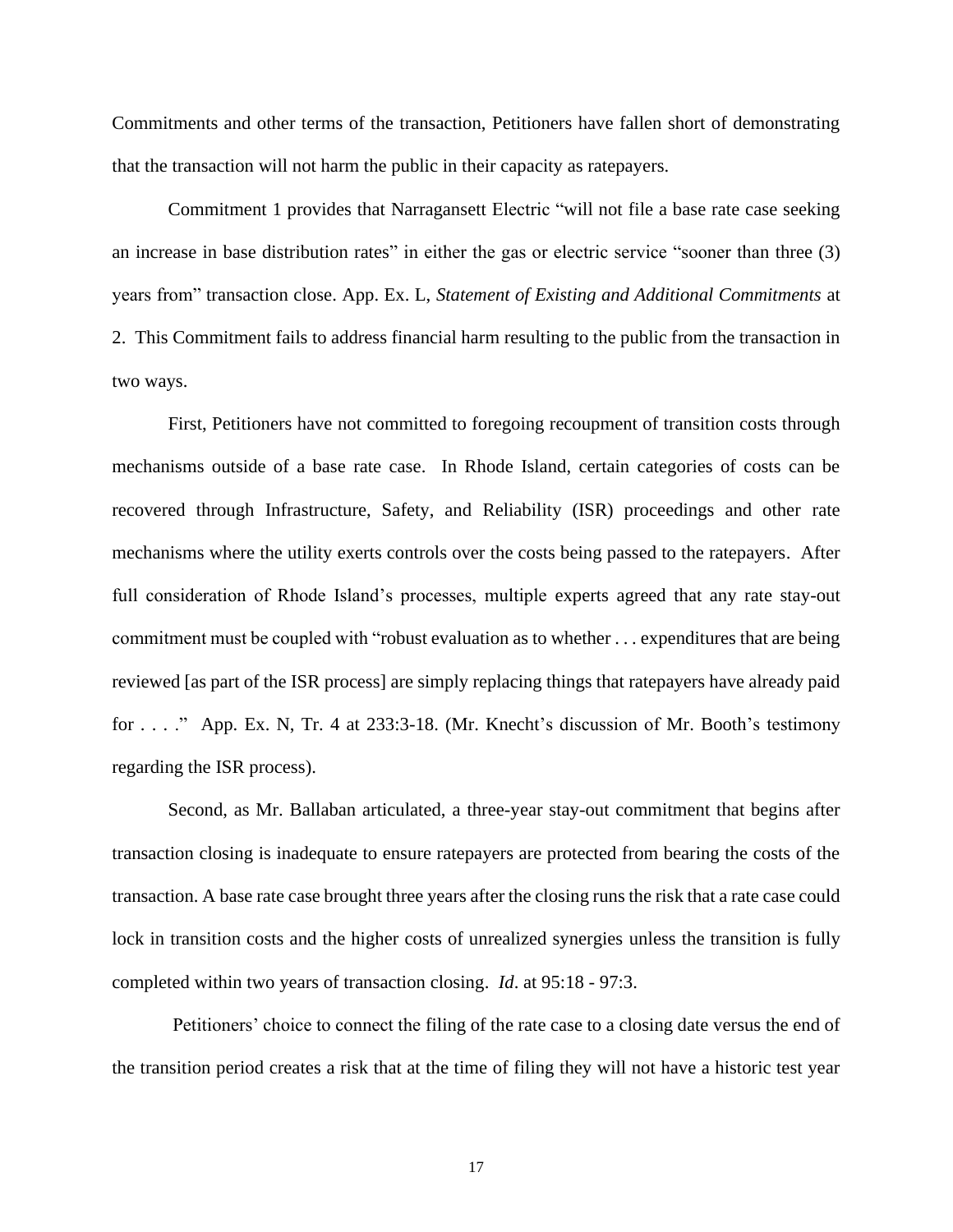Commitments and other terms of the transaction, Petitioners have fallen short of demonstrating that the transaction will not harm the public in their capacity as ratepayers.

Commitment 1 provides that Narragansett Electric "will not file a base rate case seeking an increase in base distribution rates" in either the gas or electric service "sooner than three (3) years from" transaction close. App. Ex. L, *Statement of Existing and Additional Commitments* at 2. This Commitment fails to address financial harm resulting to the public from the transaction in two ways.

First, Petitioners have not committed to foregoing recoupment of transition costs through mechanisms outside of a base rate case. In Rhode Island, certain categories of costs can be recovered through Infrastructure, Safety, and Reliability (ISR) proceedings and other rate mechanisms where the utility exerts controls over the costs being passed to the ratepayers. After full consideration of Rhode Island's processes, multiple experts agreed that any rate stay-out commitment must be coupled with "robust evaluation as to whether . . . expenditures that are being reviewed [as part of the ISR process] are simply replacing things that ratepayers have already paid for . . . ." App. Ex. N, Tr. 4 at 233:3-18. (Mr. Knecht's discussion of Mr. Booth's testimony regarding the ISR process).

Second, as Mr. Ballaban articulated, a three-year stay-out commitment that begins after transaction closing is inadequate to ensure ratepayers are protected from bearing the costs of the transaction. A base rate case brought three years after the closing runs the risk that a rate case could lock in transition costs and the higher costs of unrealized synergies unless the transition is fully completed within two years of transaction closing. *Id*. at 95:18 - 97:3.

Petitioners' choice to connect the filing of the rate case to a closing date versus the end of the transition period creates a risk that at the time of filing they will not have a historic test year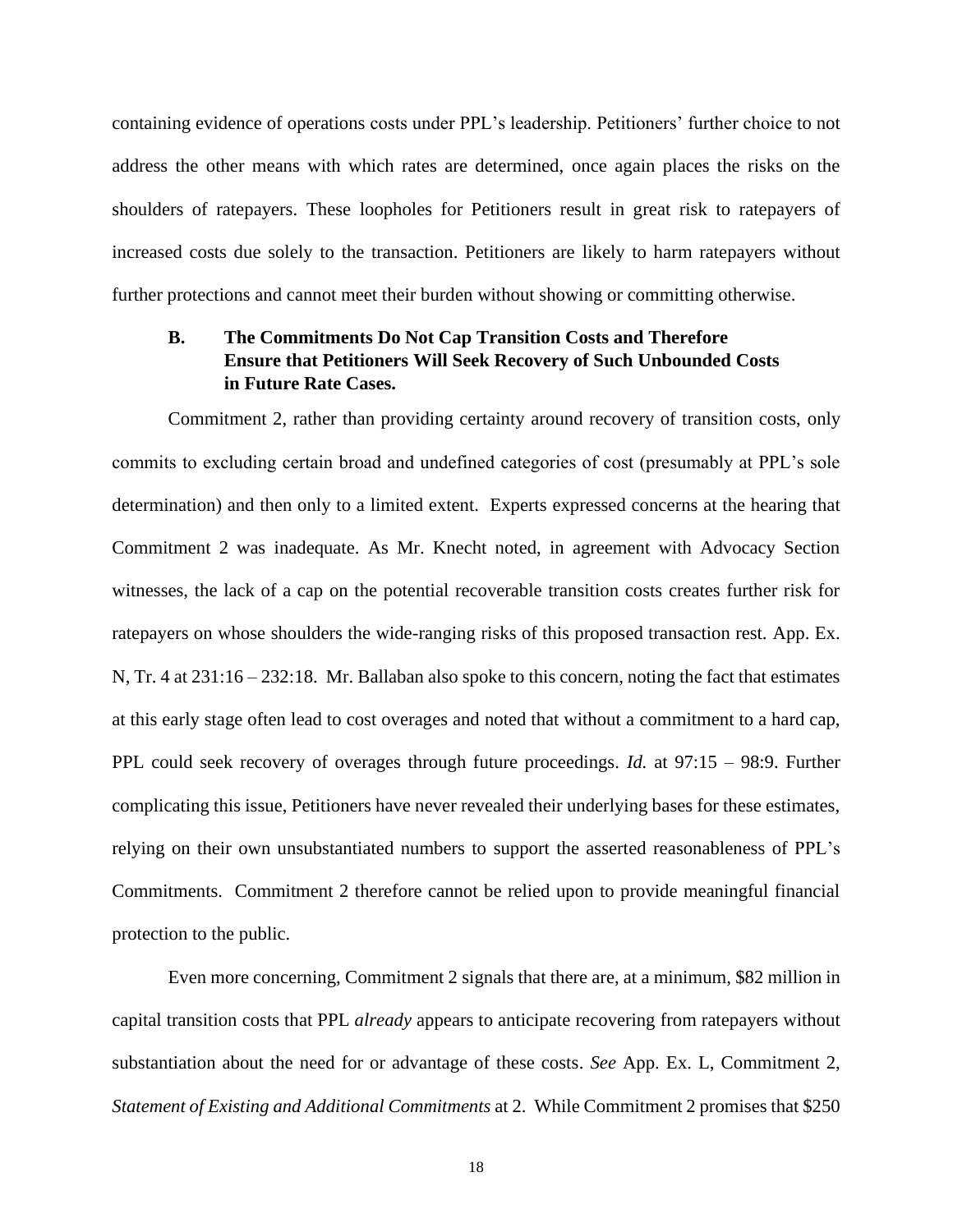containing evidence of operations costs under PPL's leadership. Petitioners' further choice to not address the other means with which rates are determined, once again places the risks on the shoulders of ratepayers. These loopholes for Petitioners result in great risk to ratepayers of increased costs due solely to the transaction. Petitioners are likely to harm ratepayers without further protections and cannot meet their burden without showing or committing otherwise.

# **B. The Commitments Do Not Cap Transition Costs and Therefore Ensure that Petitioners Will Seek Recovery of Such Unbounded Costs in Future Rate Cases.**

Commitment 2, rather than providing certainty around recovery of transition costs, only commits to excluding certain broad and undefined categories of cost (presumably at PPL's sole determination) and then only to a limited extent. Experts expressed concerns at the hearing that Commitment 2 was inadequate. As Mr. Knecht noted, in agreement with Advocacy Section witnesses, the lack of a cap on the potential recoverable transition costs creates further risk for ratepayers on whose shoulders the wide-ranging risks of this proposed transaction rest. App. Ex. N, Tr. 4 at 231:16 – 232:18. Mr. Ballaban also spoke to this concern, noting the fact that estimates at this early stage often lead to cost overages and noted that without a commitment to a hard cap, PPL could seek recovery of overages through future proceedings. *Id.* at 97:15 – 98:9. Further complicating this issue, Petitioners have never revealed their underlying bases for these estimates, relying on their own unsubstantiated numbers to support the asserted reasonableness of PPL's Commitments. Commitment 2 therefore cannot be relied upon to provide meaningful financial protection to the public.

Even more concerning, Commitment 2 signals that there are, at a minimum, \$82 million in capital transition costs that PPL *already* appears to anticipate recovering from ratepayers without substantiation about the need for or advantage of these costs. *See* App. Ex. L, Commitment 2, *Statement of Existing and Additional Commitments* at 2. While Commitment 2 promises that \$250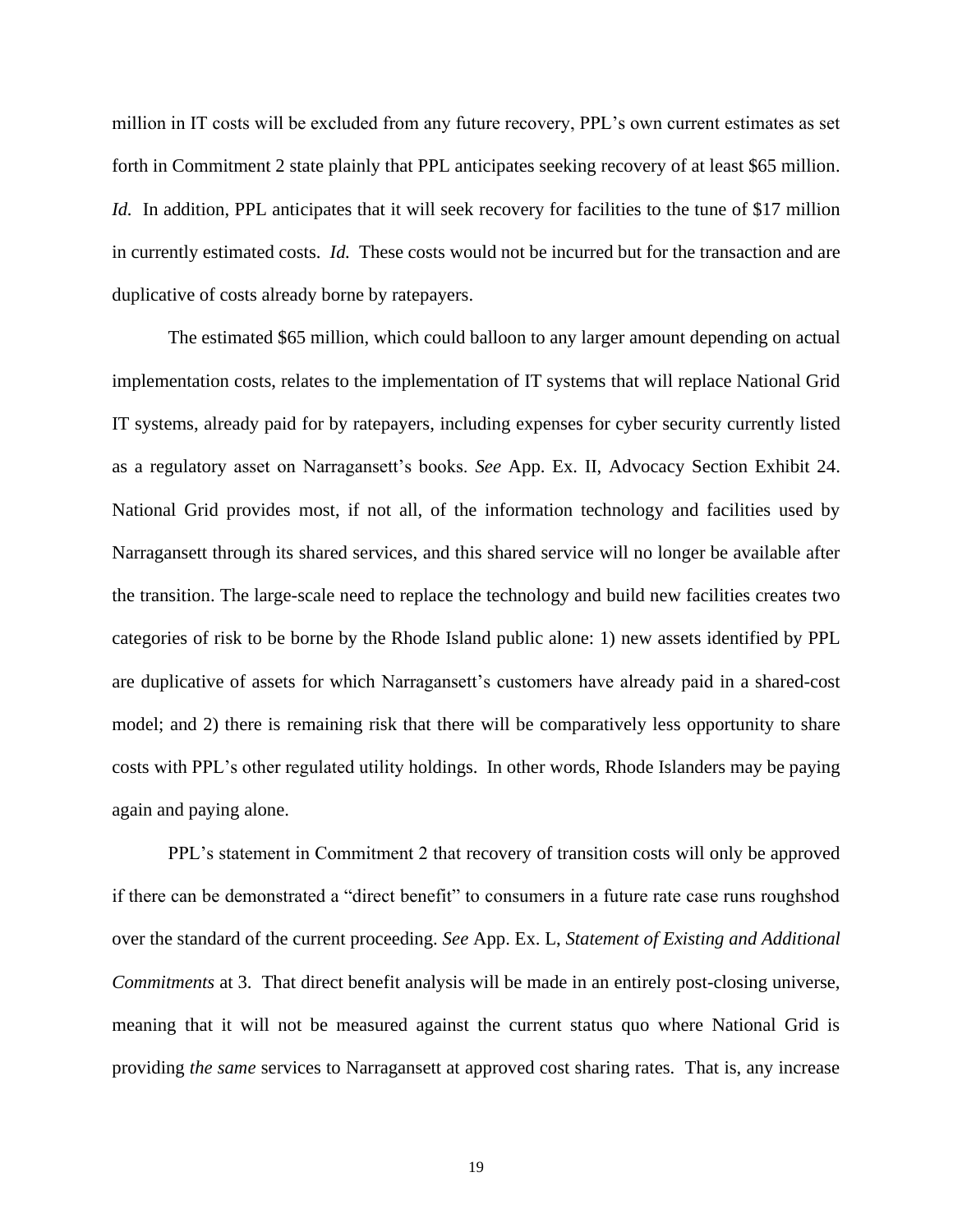million in IT costs will be excluded from any future recovery, PPL's own current estimates as set forth in Commitment 2 state plainly that PPL anticipates seeking recovery of at least \$65 million. *Id.* In addition, PPL anticipates that it will seek recovery for facilities to the tune of \$17 million in currently estimated costs. *Id.* These costs would not be incurred but for the transaction and are duplicative of costs already borne by ratepayers.

The estimated \$65 million, which could balloon to any larger amount depending on actual implementation costs, relates to the implementation of IT systems that will replace National Grid IT systems, already paid for by ratepayers, including expenses for cyber security currently listed as a regulatory asset on Narragansett's books. *See* App. Ex. II, Advocacy Section Exhibit 24. National Grid provides most, if not all, of the information technology and facilities used by Narragansett through its shared services, and this shared service will no longer be available after the transition. The large-scale need to replace the technology and build new facilities creates two categories of risk to be borne by the Rhode Island public alone: 1) new assets identified by PPL are duplicative of assets for which Narragansett's customers have already paid in a shared-cost model; and 2) there is remaining risk that there will be comparatively less opportunity to share costs with PPL's other regulated utility holdings. In other words, Rhode Islanders may be paying again and paying alone.

PPL's statement in Commitment 2 that recovery of transition costs will only be approved if there can be demonstrated a "direct benefit" to consumers in a future rate case runs roughshod over the standard of the current proceeding. *See* App. Ex. L, *Statement of Existing and Additional Commitments* at 3. That direct benefit analysis will be made in an entirely post-closing universe, meaning that it will not be measured against the current status quo where National Grid is providing *the same* services to Narragansett at approved cost sharing rates. That is, any increase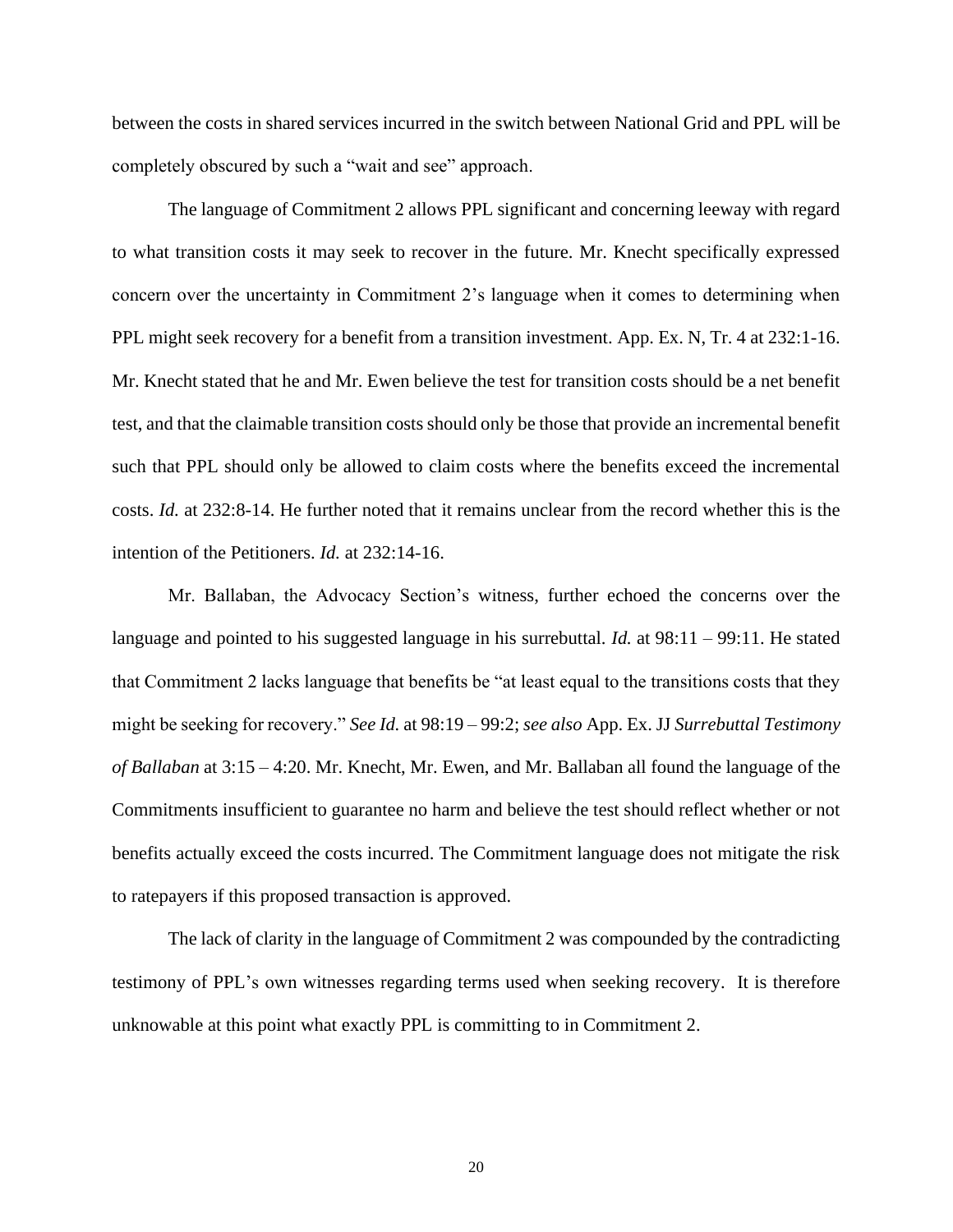between the costs in shared services incurred in the switch between National Grid and PPL will be completely obscured by such a "wait and see" approach.

The language of Commitment 2 allows PPL significant and concerning leeway with regard to what transition costs it may seek to recover in the future. Mr. Knecht specifically expressed concern over the uncertainty in Commitment 2's language when it comes to determining when PPL might seek recovery for a benefit from a transition investment. App. Ex. N, Tr. 4 at 232:1-16. Mr. Knecht stated that he and Mr. Ewen believe the test for transition costs should be a net benefit test, and that the claimable transition costs should only be those that provide an incremental benefit such that PPL should only be allowed to claim costs where the benefits exceed the incremental costs. *Id.* at 232:8-14. He further noted that it remains unclear from the record whether this is the intention of the Petitioners. *Id.* at 232:14-16.

Mr. Ballaban, the Advocacy Section's witness, further echoed the concerns over the language and pointed to his suggested language in his surrebuttal. *Id.* at 98:11 – 99:11. He stated that Commitment 2 lacks language that benefits be "at least equal to the transitions costs that they might be seeking for recovery." *See Id.* at 98:19 – 99:2; *see also* App. Ex. JJ *Surrebuttal Testimony of Ballaban* at 3:15 – 4:20. Mr. Knecht, Mr. Ewen, and Mr. Ballaban all found the language of the Commitments insufficient to guarantee no harm and believe the test should reflect whether or not benefits actually exceed the costs incurred. The Commitment language does not mitigate the risk to ratepayers if this proposed transaction is approved.

The lack of clarity in the language of Commitment 2 was compounded by the contradicting testimony of PPL's own witnesses regarding terms used when seeking recovery. It is therefore unknowable at this point what exactly PPL is committing to in Commitment 2.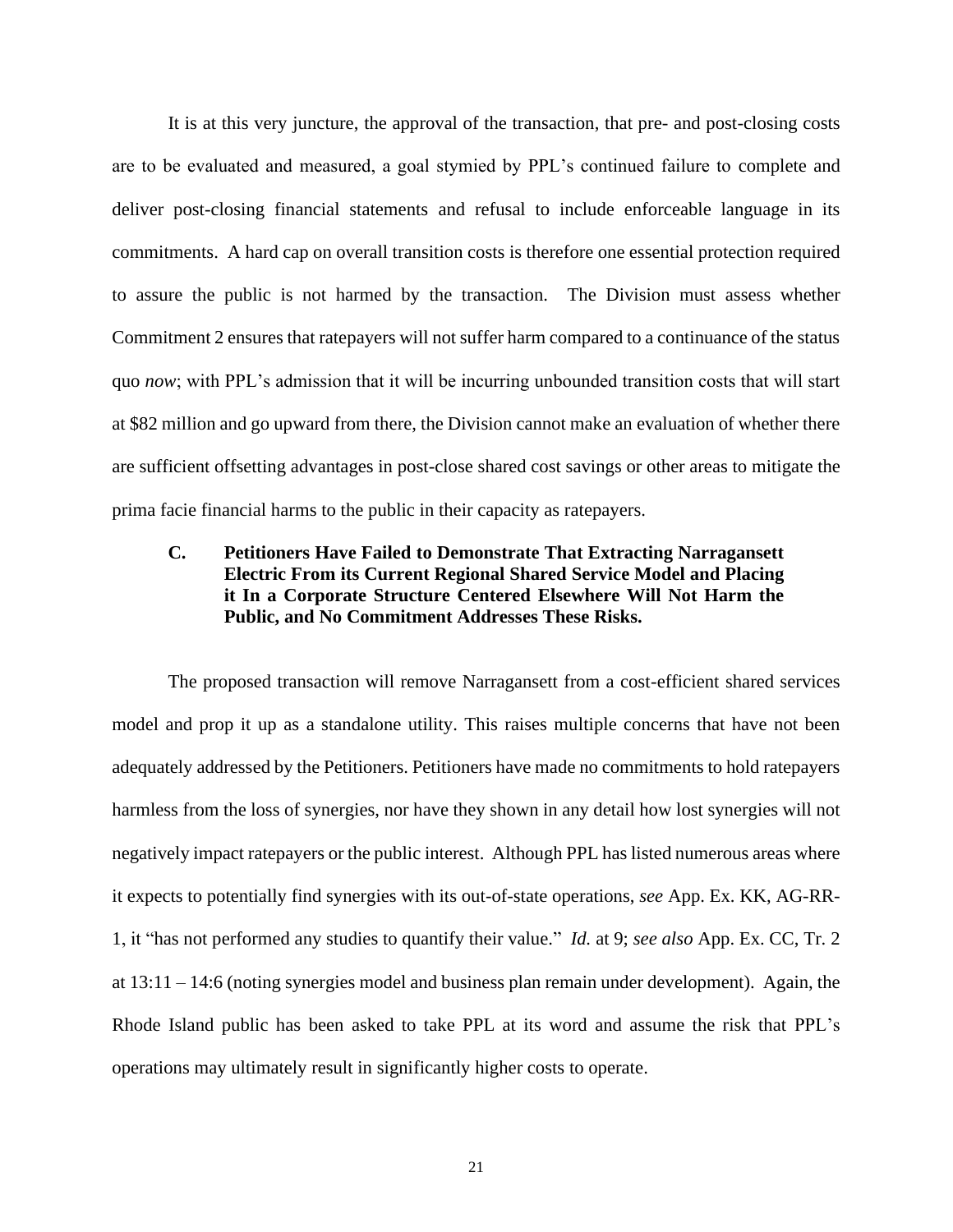It is at this very juncture, the approval of the transaction, that pre- and post-closing costs are to be evaluated and measured, a goal stymied by PPL's continued failure to complete and deliver post-closing financial statements and refusal to include enforceable language in its commitments. A hard cap on overall transition costs is therefore one essential protection required to assure the public is not harmed by the transaction. The Division must assess whether Commitment 2 ensures that ratepayers will not suffer harm compared to a continuance of the status quo *now*; with PPL's admission that it will be incurring unbounded transition costs that will start at \$82 million and go upward from there, the Division cannot make an evaluation of whether there are sufficient offsetting advantages in post-close shared cost savings or other areas to mitigate the prima facie financial harms to the public in their capacity as ratepayers.

# **C. Petitioners Have Failed to Demonstrate That Extracting Narragansett Electric From its Current Regional Shared Service Model and Placing it In a Corporate Structure Centered Elsewhere Will Not Harm the Public, and No Commitment Addresses These Risks.**

The proposed transaction will remove Narragansett from a cost-efficient shared services model and prop it up as a standalone utility. This raises multiple concerns that have not been adequately addressed by the Petitioners. Petitioners have made no commitments to hold ratepayers harmless from the loss of synergies, nor have they shown in any detail how lost synergies will not negatively impact ratepayers or the public interest. Although PPL has listed numerous areas where it expects to potentially find synergies with its out-of-state operations, *see* App. Ex. KK, AG-RR-1, it "has not performed any studies to quantify their value." *Id.* at 9; *see also* App. Ex. CC, Tr. 2 at 13:11 – 14:6 (noting synergies model and business plan remain under development). Again, the Rhode Island public has been asked to take PPL at its word and assume the risk that PPL's operations may ultimately result in significantly higher costs to operate.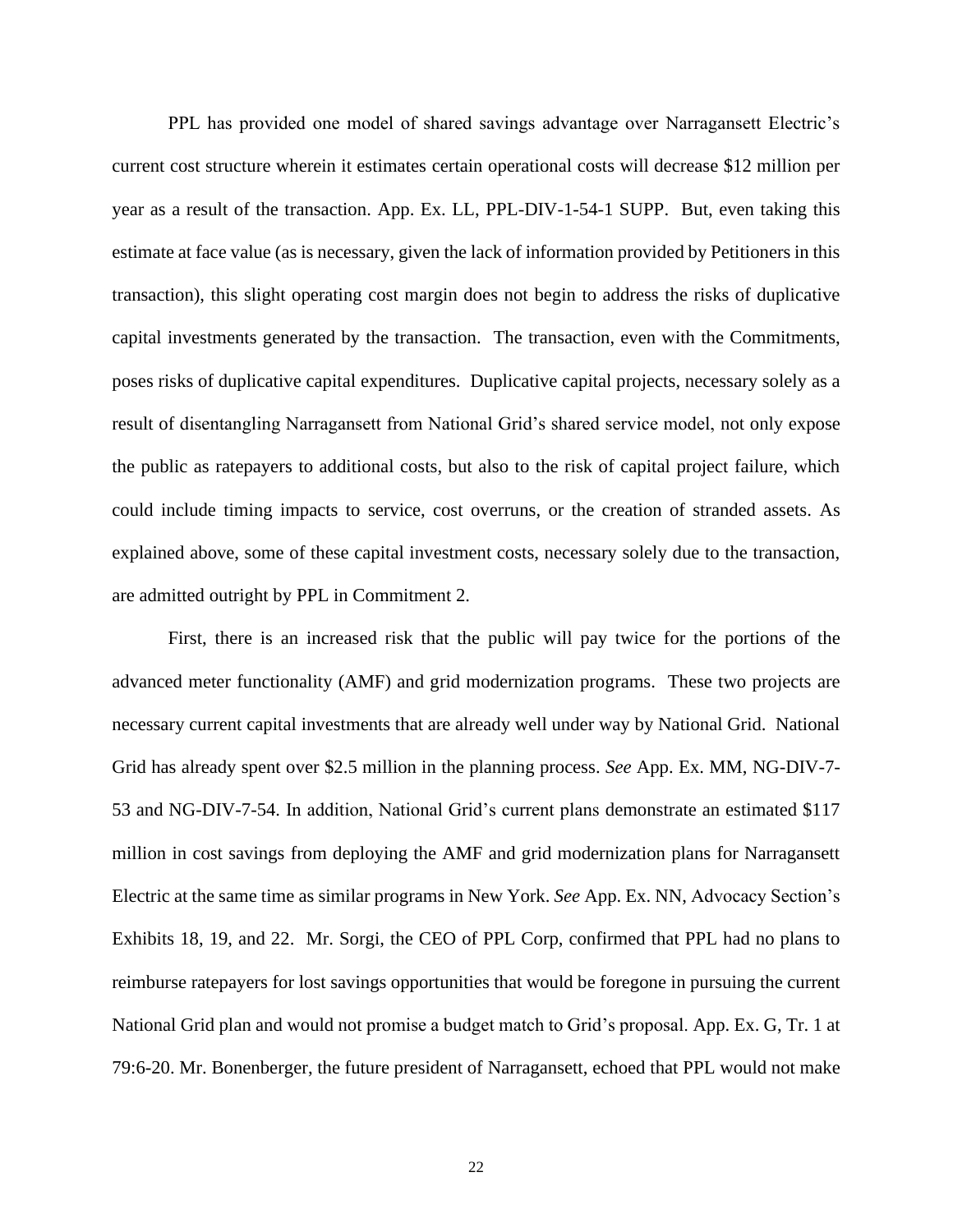PPL has provided one model of shared savings advantage over Narragansett Electric's current cost structure wherein it estimates certain operational costs will decrease \$12 million per year as a result of the transaction. App. Ex. LL, PPL-DIV-1-54-1 SUPP. But, even taking this estimate at face value (as is necessary, given the lack of information provided by Petitioners in this transaction), this slight operating cost margin does not begin to address the risks of duplicative capital investments generated by the transaction. The transaction, even with the Commitments, poses risks of duplicative capital expenditures. Duplicative capital projects, necessary solely as a result of disentangling Narragansett from National Grid's shared service model, not only expose the public as ratepayers to additional costs, but also to the risk of capital project failure, which could include timing impacts to service, cost overruns, or the creation of stranded assets. As explained above, some of these capital investment costs, necessary solely due to the transaction, are admitted outright by PPL in Commitment 2.

First, there is an increased risk that the public will pay twice for the portions of the advanced meter functionality (AMF) and grid modernization programs. These two projects are necessary current capital investments that are already well under way by National Grid. National Grid has already spent over \$2.5 million in the planning process. *See* App. Ex. MM, NG-DIV-7- 53 and NG-DIV-7-54. In addition, National Grid's current plans demonstrate an estimated \$117 million in cost savings from deploying the AMF and grid modernization plans for Narragansett Electric at the same time as similar programs in New York. *See* App. Ex. NN, Advocacy Section's Exhibits 18, 19, and 22. Mr. Sorgi, the CEO of PPL Corp, confirmed that PPL had no plans to reimburse ratepayers for lost savings opportunities that would be foregone in pursuing the current National Grid plan and would not promise a budget match to Grid's proposal. App. Ex. G, Tr. 1 at 79:6-20. Mr. Bonenberger, the future president of Narragansett, echoed that PPL would not make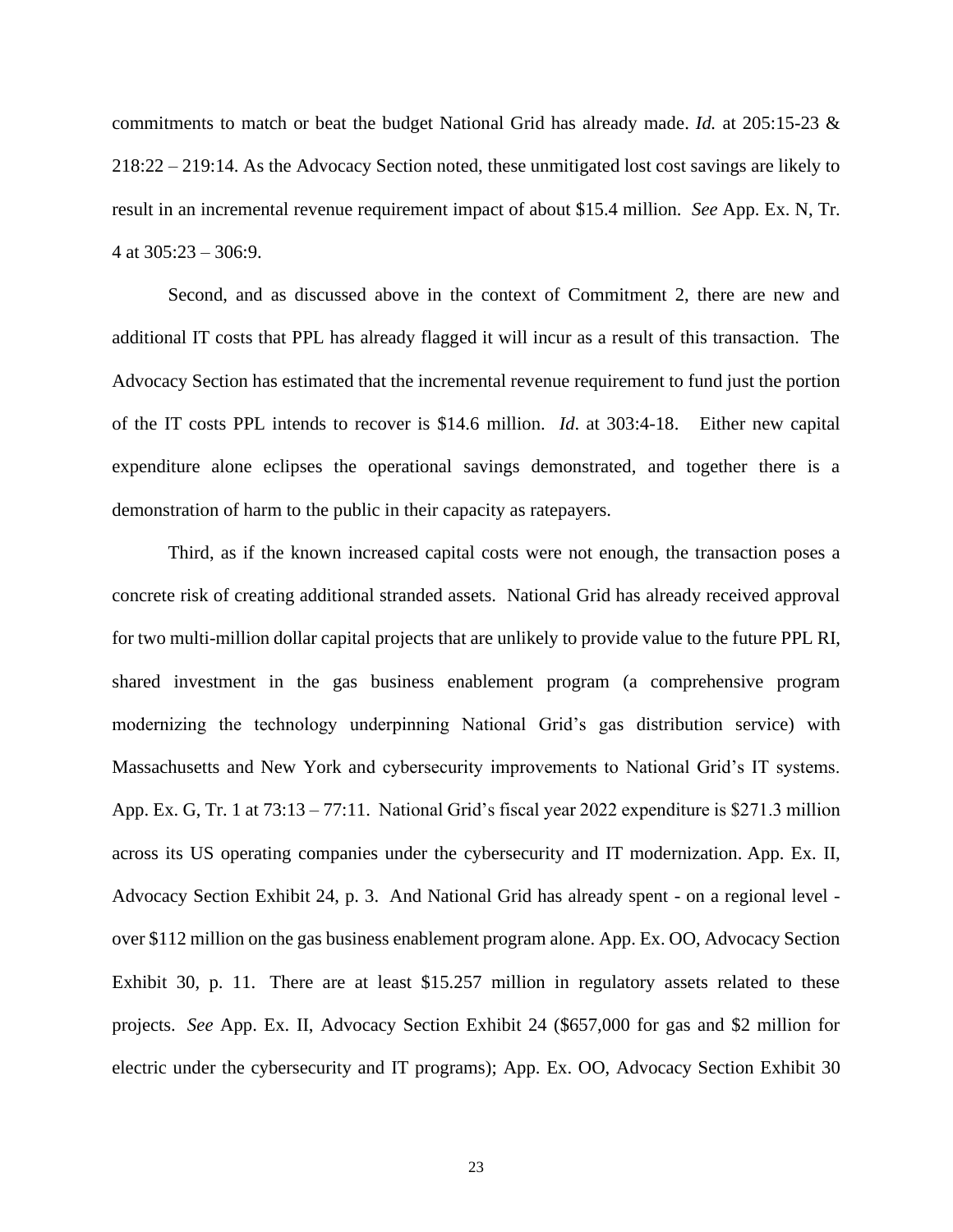commitments to match or beat the budget National Grid has already made. *Id.* at 205:15-23 & 218:22 – 219:14. As the Advocacy Section noted, these unmitigated lost cost savings are likely to result in an incremental revenue requirement impact of about \$15.4 million. *See* App. Ex. N, Tr. 4 at  $305:23 - 306:9$ .

Second, and as discussed above in the context of Commitment 2, there are new and additional IT costs that PPL has already flagged it will incur as a result of this transaction. The Advocacy Section has estimated that the incremental revenue requirement to fund just the portion of the IT costs PPL intends to recover is \$14.6 million. *Id*. at 303:4-18. Either new capital expenditure alone eclipses the operational savings demonstrated, and together there is a demonstration of harm to the public in their capacity as ratepayers.

Third, as if the known increased capital costs were not enough, the transaction poses a concrete risk of creating additional stranded assets. National Grid has already received approval for two multi-million dollar capital projects that are unlikely to provide value to the future PPL RI, shared investment in the gas business enablement program (a comprehensive program modernizing the technology underpinning National Grid's gas distribution service) with Massachusetts and New York and cybersecurity improvements to National Grid's IT systems. App. Ex. G, Tr. 1 at 73:13 – 77:11. National Grid's fiscal year 2022 expenditure is \$271.3 million across its US operating companies under the cybersecurity and IT modernization. App. Ex. II, Advocacy Section Exhibit 24, p. 3. And National Grid has already spent - on a regional level over \$112 million on the gas business enablement program alone. App. Ex. OO, Advocacy Section Exhibit 30, p. 11. There are at least \$15.257 million in regulatory assets related to these projects. *See* App. Ex. II, Advocacy Section Exhibit 24 (\$657,000 for gas and \$2 million for electric under the cybersecurity and IT programs); App. Ex. OO, Advocacy Section Exhibit 30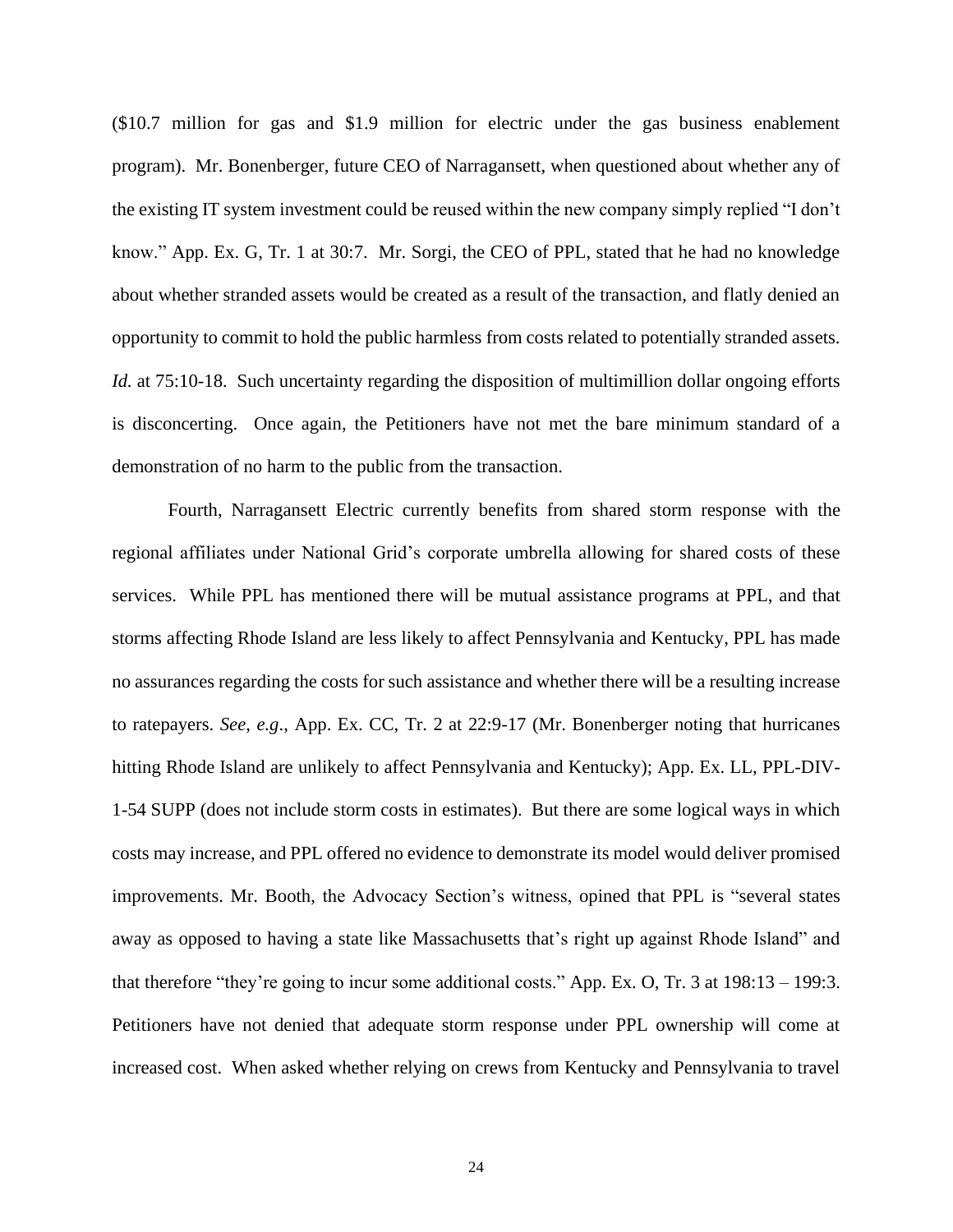(\$10.7 million for gas and \$1.9 million for electric under the gas business enablement program). Mr. Bonenberger, future CEO of Narragansett, when questioned about whether any of the existing IT system investment could be reused within the new company simply replied "I don't know." App. Ex. G, Tr. 1 at 30:7. Mr. Sorgi, the CEO of PPL, stated that he had no knowledge about whether stranded assets would be created as a result of the transaction, and flatly denied an opportunity to commit to hold the public harmless from costs related to potentially stranded assets. *Id.* at 75:10-18. Such uncertainty regarding the disposition of multimillion dollar ongoing efforts is disconcerting. Once again, the Petitioners have not met the bare minimum standard of a demonstration of no harm to the public from the transaction.

Fourth, Narragansett Electric currently benefits from shared storm response with the regional affiliates under National Grid's corporate umbrella allowing for shared costs of these services. While PPL has mentioned there will be mutual assistance programs at PPL, and that storms affecting Rhode Island are less likely to affect Pennsylvania and Kentucky, PPL has made no assurances regarding the costs for such assistance and whether there will be a resulting increase to ratepayers. *See*, *e.g*., App. Ex. CC, Tr. 2 at 22:9-17 (Mr. Bonenberger noting that hurricanes hitting Rhode Island are unlikely to affect Pennsylvania and Kentucky); App. Ex. LL, PPL-DIV-1-54 SUPP (does not include storm costs in estimates). But there are some logical ways in which costs may increase, and PPL offered no evidence to demonstrate its model would deliver promised improvements. Mr. Booth, the Advocacy Section's witness, opined that PPL is "several states away as opposed to having a state like Massachusetts that's right up against Rhode Island" and that therefore "they're going to incur some additional costs." App. Ex. O, Tr. 3 at 198:13 – 199:3. Petitioners have not denied that adequate storm response under PPL ownership will come at increased cost. When asked whether relying on crews from Kentucky and Pennsylvania to travel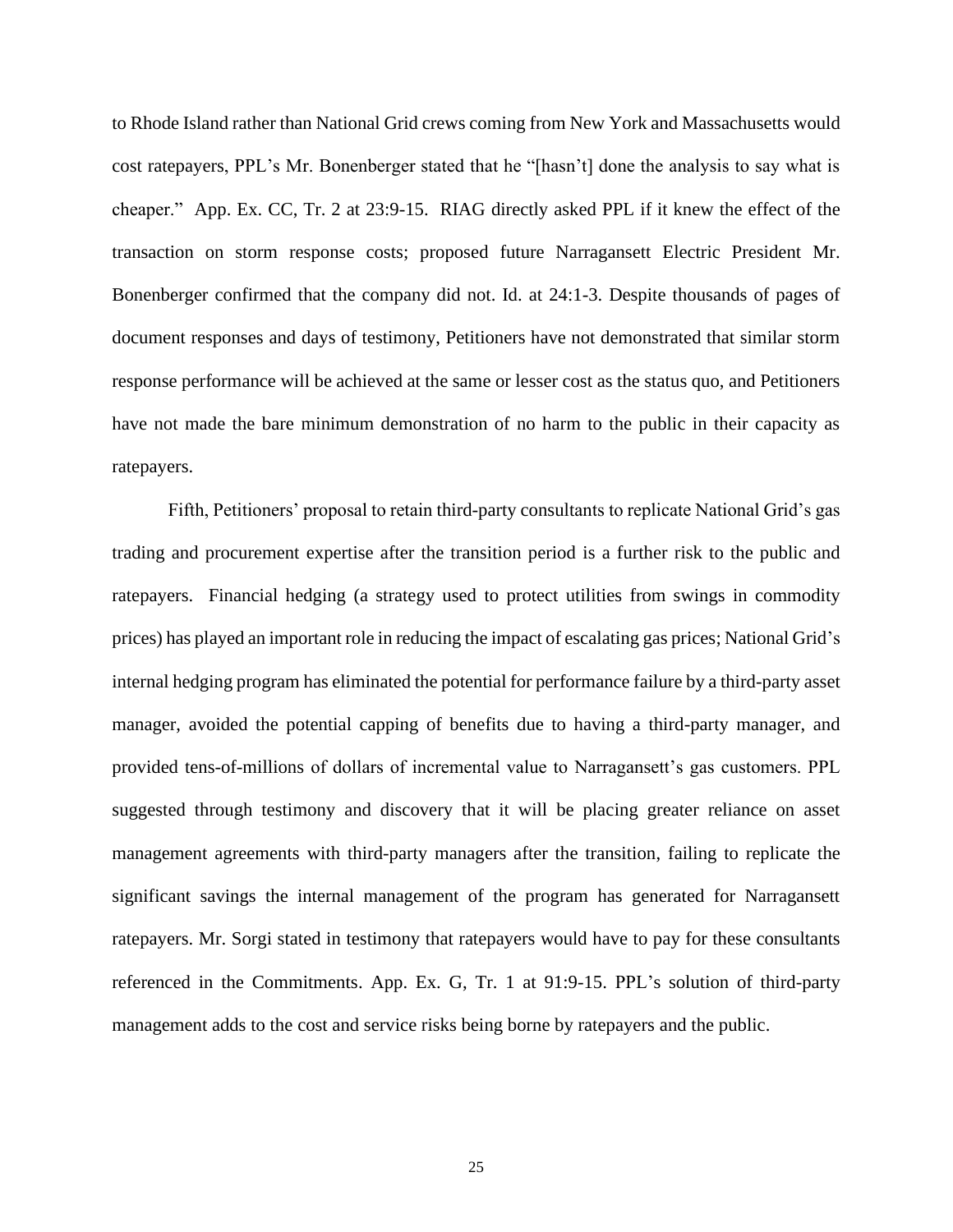to Rhode Island rather than National Grid crews coming from New York and Massachusetts would cost ratepayers, PPL's Mr. Bonenberger stated that he "[hasn't] done the analysis to say what is cheaper." App. Ex. CC, Tr. 2 at 23:9-15. RIAG directly asked PPL if it knew the effect of the transaction on storm response costs; proposed future Narragansett Electric President Mr. Bonenberger confirmed that the company did not. Id. at 24:1-3. Despite thousands of pages of document responses and days of testimony, Petitioners have not demonstrated that similar storm response performance will be achieved at the same or lesser cost as the status quo, and Petitioners have not made the bare minimum demonstration of no harm to the public in their capacity as ratepayers.

Fifth, Petitioners' proposal to retain third-party consultants to replicate National Grid's gas trading and procurement expertise after the transition period is a further risk to the public and ratepayers. Financial hedging (a strategy used to protect utilities from swings in commodity prices) has played an important role in reducing the impact of escalating gas prices; National Grid's internal hedging program has eliminated the potential for performance failure by a third-party asset manager, avoided the potential capping of benefits due to having a third-party manager, and provided tens-of-millions of dollars of incremental value to Narragansett's gas customers. PPL suggested through testimony and discovery that it will be placing greater reliance on asset management agreements with third-party managers after the transition, failing to replicate the significant savings the internal management of the program has generated for Narragansett ratepayers. Mr. Sorgi stated in testimony that ratepayers would have to pay for these consultants referenced in the Commitments. App. Ex. G, Tr. 1 at 91:9-15. PPL's solution of third-party management adds to the cost and service risks being borne by ratepayers and the public.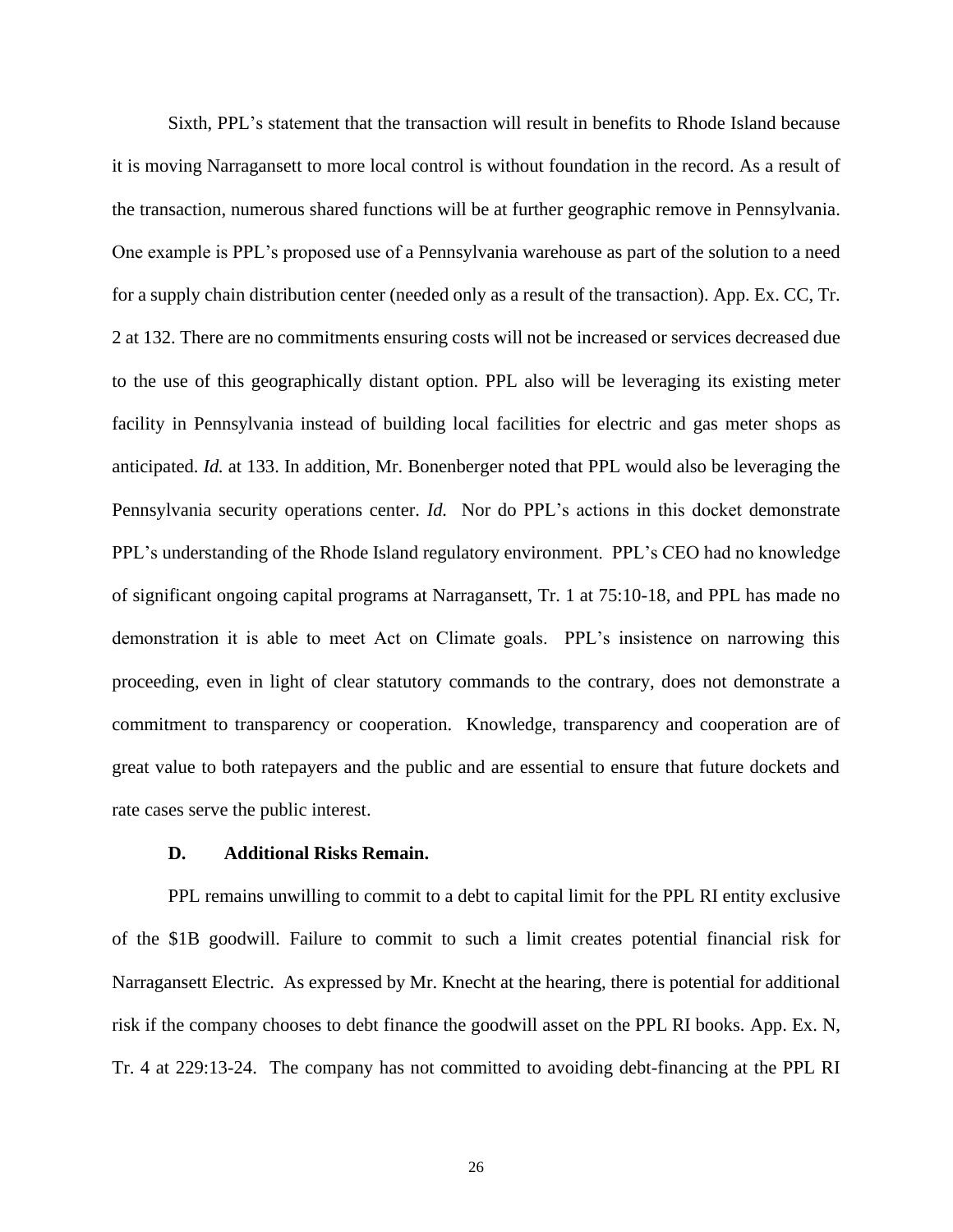Sixth, PPL's statement that the transaction will result in benefits to Rhode Island because it is moving Narragansett to more local control is without foundation in the record. As a result of the transaction, numerous shared functions will be at further geographic remove in Pennsylvania. One example is PPL's proposed use of a Pennsylvania warehouse as part of the solution to a need for a supply chain distribution center (needed only as a result of the transaction). App. Ex. CC, Tr. 2 at 132. There are no commitments ensuring costs will not be increased or services decreased due to the use of this geographically distant option. PPL also will be leveraging its existing meter facility in Pennsylvania instead of building local facilities for electric and gas meter shops as anticipated. *Id.* at 133. In addition, Mr. Bonenberger noted that PPL would also be leveraging the Pennsylvania security operations center. *Id.* Nor do PPL's actions in this docket demonstrate PPL's understanding of the Rhode Island regulatory environment. PPL's CEO had no knowledge of significant ongoing capital programs at Narragansett, Tr. 1 at 75:10-18, and PPL has made no demonstration it is able to meet Act on Climate goals. PPL's insistence on narrowing this proceeding, even in light of clear statutory commands to the contrary, does not demonstrate a commitment to transparency or cooperation. Knowledge, transparency and cooperation are of great value to both ratepayers and the public and are essential to ensure that future dockets and rate cases serve the public interest.

#### **D. Additional Risks Remain.**

PPL remains unwilling to commit to a debt to capital limit for the PPL RI entity exclusive of the \$1B goodwill. Failure to commit to such a limit creates potential financial risk for Narragansett Electric. As expressed by Mr. Knecht at the hearing, there is potential for additional risk if the company chooses to debt finance the goodwill asset on the PPL RI books. App. Ex. N, Tr. 4 at 229:13-24. The company has not committed to avoiding debt-financing at the PPL RI

26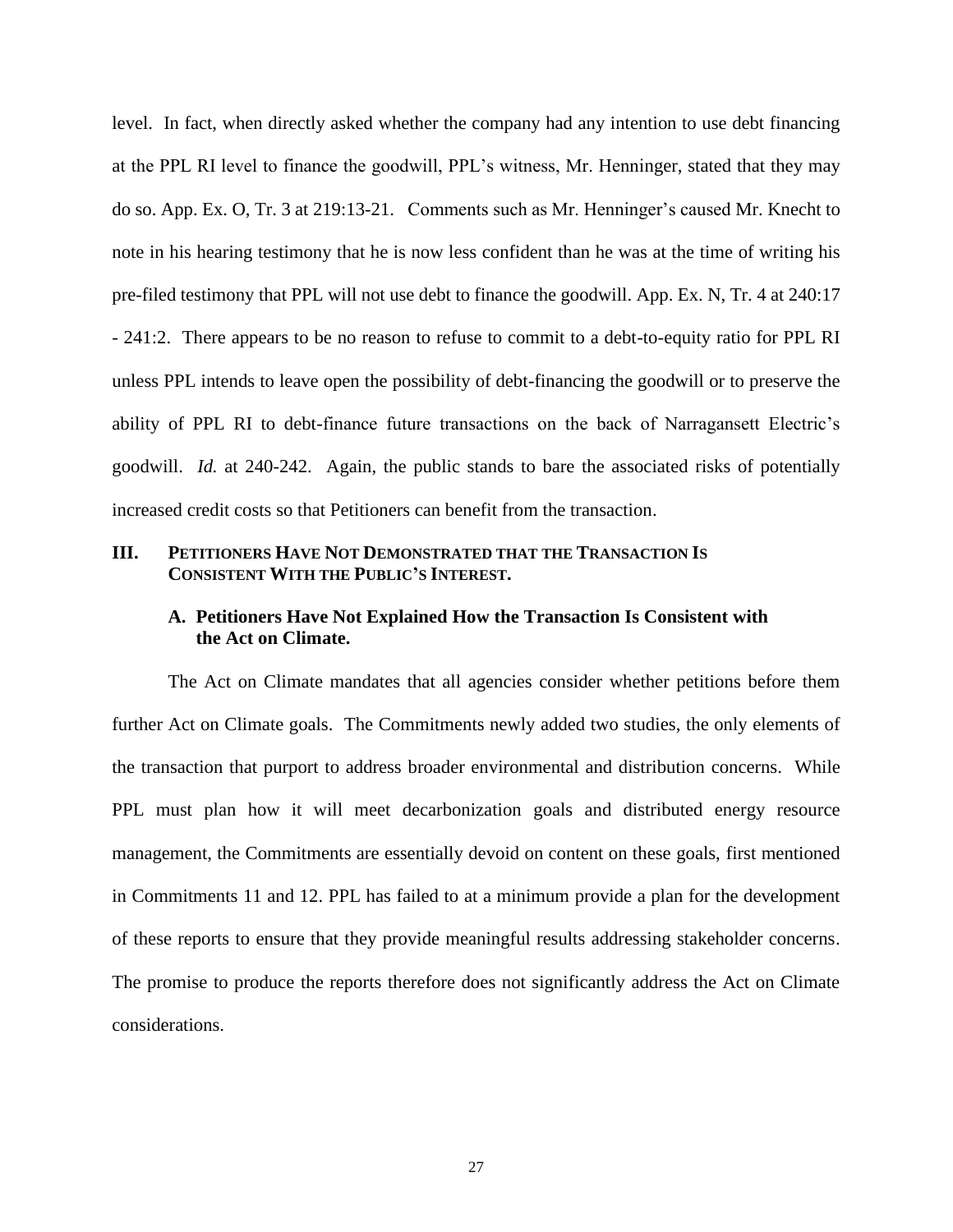level. In fact, when directly asked whether the company had any intention to use debt financing at the PPL RI level to finance the goodwill, PPL's witness, Mr. Henninger, stated that they may do so. App. Ex. O, Tr. 3 at 219:13-21. Comments such as Mr. Henninger's caused Mr. Knecht to note in his hearing testimony that he is now less confident than he was at the time of writing his pre-filed testimony that PPL will not use debt to finance the goodwill. App. Ex. N, Tr. 4 at 240:17 - 241:2. There appears to be no reason to refuse to commit to a debt-to-equity ratio for PPL RI unless PPL intends to leave open the possibility of debt-financing the goodwill or to preserve the ability of PPL RI to debt-finance future transactions on the back of Narragansett Electric's goodwill. *Id.* at 240-242. Again, the public stands to bare the associated risks of potentially increased credit costs so that Petitioners can benefit from the transaction.

### **III. PETITIONERS HAVE NOT DEMONSTRATED THAT THE TRANSACTION IS CONSISTENT WITH THE PUBLIC'S INTEREST.**

# **A. Petitioners Have Not Explained How the Transaction Is Consistent with the Act on Climate.**

The Act on Climate mandates that all agencies consider whether petitions before them further Act on Climate goals. The Commitments newly added two studies, the only elements of the transaction that purport to address broader environmental and distribution concerns. While PPL must plan how it will meet decarbonization goals and distributed energy resource management, the Commitments are essentially devoid on content on these goals, first mentioned in Commitments 11 and 12. PPL has failed to at a minimum provide a plan for the development of these reports to ensure that they provide meaningful results addressing stakeholder concerns. The promise to produce the reports therefore does not significantly address the Act on Climate considerations.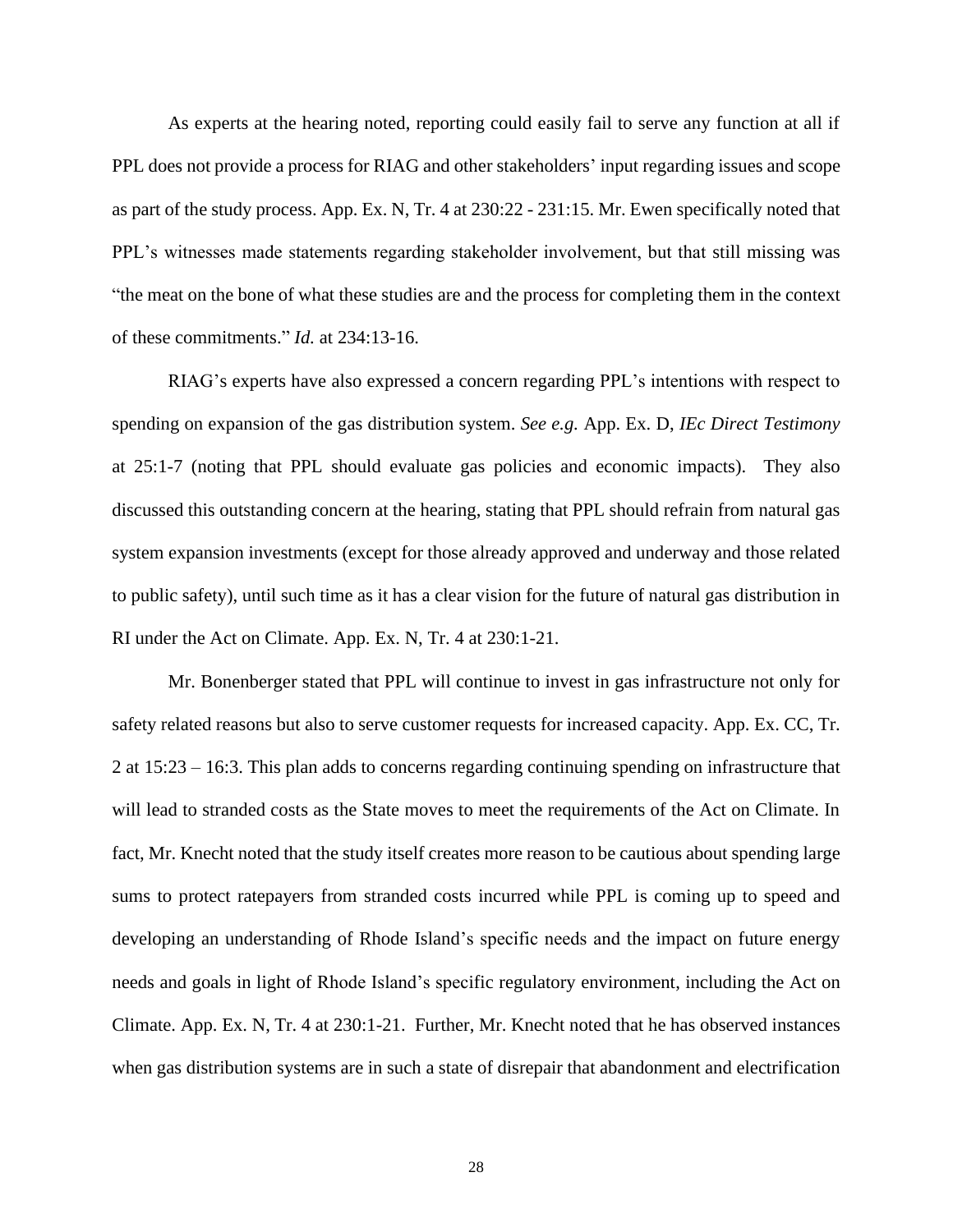As experts at the hearing noted, reporting could easily fail to serve any function at all if PPL does not provide a process for RIAG and other stakeholders' input regarding issues and scope as part of the study process. App. Ex. N, Tr. 4 at 230:22 - 231:15. Mr. Ewen specifically noted that PPL's witnesses made statements regarding stakeholder involvement, but that still missing was "the meat on the bone of what these studies are and the process for completing them in the context of these commitments." *Id.* at 234:13-16.

RIAG's experts have also expressed a concern regarding PPL's intentions with respect to spending on expansion of the gas distribution system. *See e.g.* App. Ex. D, *IEc Direct Testimony*  at 25:1-7 (noting that PPL should evaluate gas policies and economic impacts). They also discussed this outstanding concern at the hearing, stating that PPL should refrain from natural gas system expansion investments (except for those already approved and underway and those related to public safety), until such time as it has a clear vision for the future of natural gas distribution in RI under the Act on Climate. App. Ex. N, Tr. 4 at 230:1-21.

Mr. Bonenberger stated that PPL will continue to invest in gas infrastructure not only for safety related reasons but also to serve customer requests for increased capacity. App. Ex. CC, Tr. 2 at 15:23 – 16:3. This plan adds to concerns regarding continuing spending on infrastructure that will lead to stranded costs as the State moves to meet the requirements of the Act on Climate. In fact, Mr. Knecht noted that the study itself creates more reason to be cautious about spending large sums to protect ratepayers from stranded costs incurred while PPL is coming up to speed and developing an understanding of Rhode Island's specific needs and the impact on future energy needs and goals in light of Rhode Island's specific regulatory environment, including the Act on Climate. App. Ex. N, Tr. 4 at 230:1-21. Further, Mr. Knecht noted that he has observed instances when gas distribution systems are in such a state of disrepair that abandonment and electrification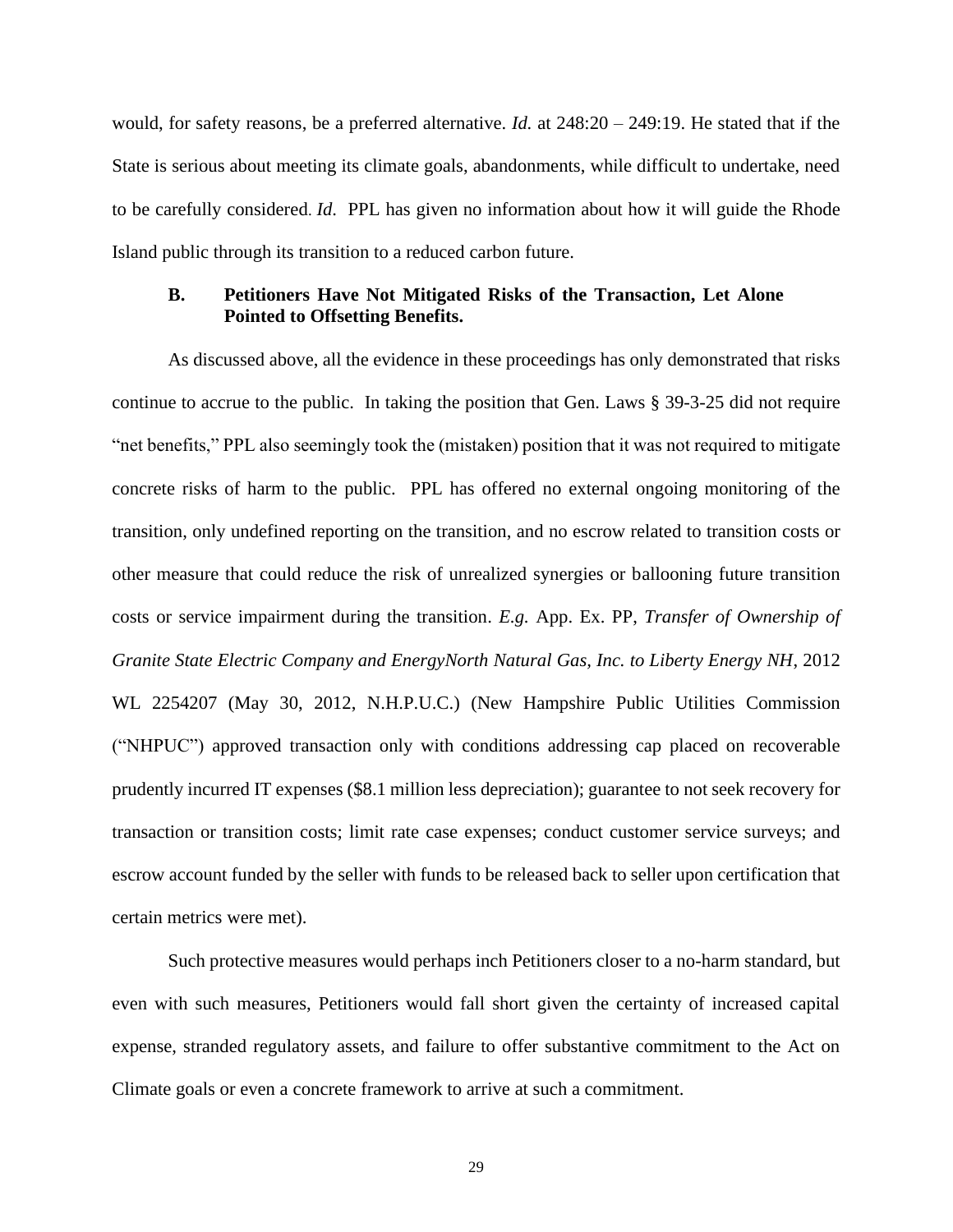would, for safety reasons, be a preferred alternative. *Id.* at 248:20 – 249:19. He stated that if the State is serious about meeting its climate goals, abandonments, while difficult to undertake, need to be carefully considered. *Id*. PPL has given no information about how it will guide the Rhode Island public through its transition to a reduced carbon future.

### **B. Petitioners Have Not Mitigated Risks of the Transaction, Let Alone Pointed to Offsetting Benefits.**

As discussed above, all the evidence in these proceedings has only demonstrated that risks continue to accrue to the public. In taking the position that Gen. Laws § 39-3-25 did not require "net benefits," PPL also seemingly took the (mistaken) position that it was not required to mitigate concrete risks of harm to the public. PPL has offered no external ongoing monitoring of the transition, only undefined reporting on the transition, and no escrow related to transition costs or other measure that could reduce the risk of unrealized synergies or ballooning future transition costs or service impairment during the transition. *E.g.* App. Ex. PP, *Transfer of Ownership of Granite State Electric Company and EnergyNorth Natural Gas, Inc. to Liberty Energy NH*, 2012 WL 2254207 (May 30, 2012, N.H.P.U.C.) (New Hampshire Public Utilities Commission ("NHPUC") approved transaction only with conditions addressing cap placed on recoverable prudently incurred IT expenses (\$8.1 million less depreciation); guarantee to not seek recovery for transaction or transition costs; limit rate case expenses; conduct customer service surveys; and escrow account funded by the seller with funds to be released back to seller upon certification that certain metrics were met).

Such protective measures would perhaps inch Petitioners closer to a no-harm standard, but even with such measures, Petitioners would fall short given the certainty of increased capital expense, stranded regulatory assets, and failure to offer substantive commitment to the Act on Climate goals or even a concrete framework to arrive at such a commitment.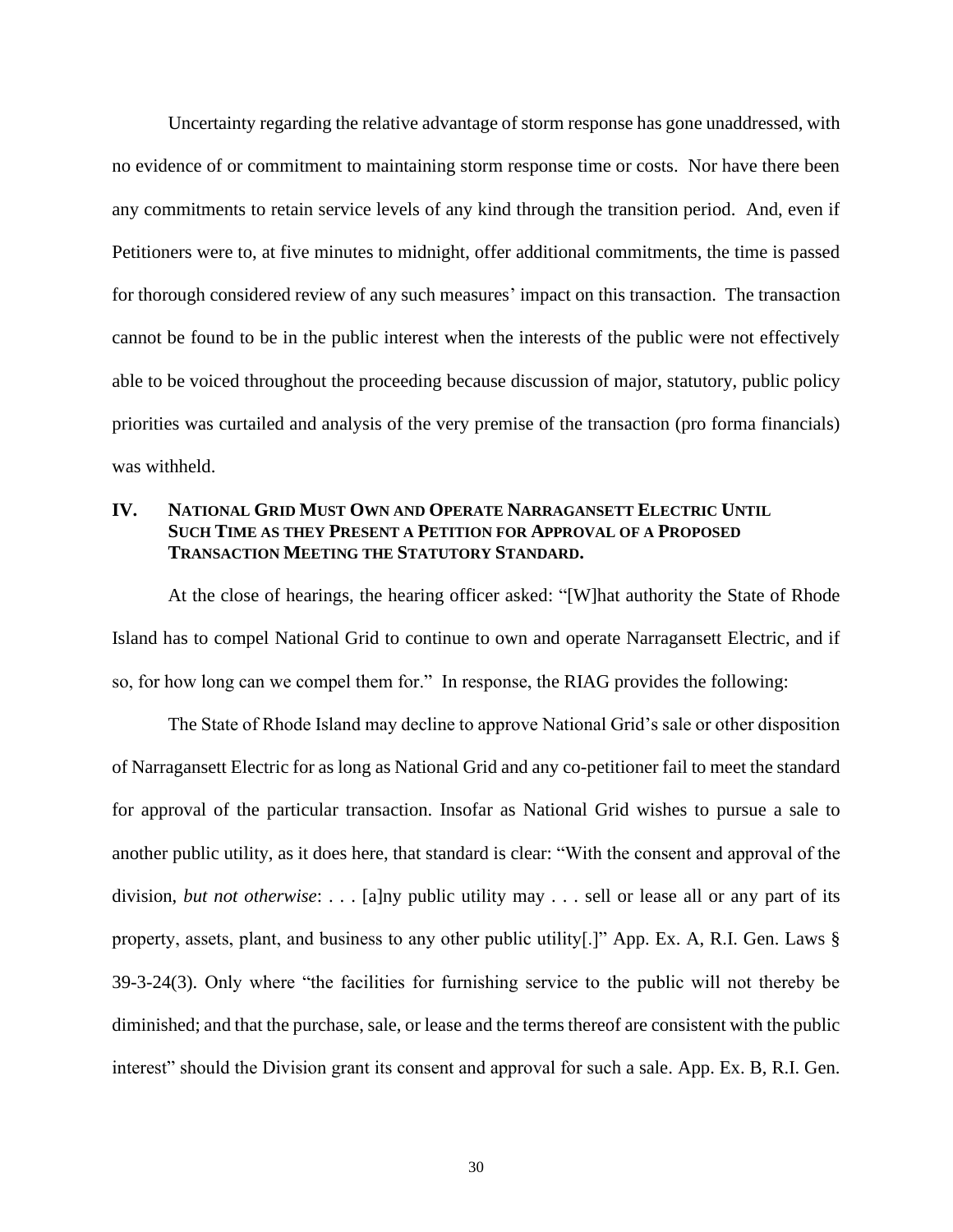Uncertainty regarding the relative advantage of storm response has gone unaddressed, with no evidence of or commitment to maintaining storm response time or costs. Nor have there been any commitments to retain service levels of any kind through the transition period. And, even if Petitioners were to, at five minutes to midnight, offer additional commitments, the time is passed for thorough considered review of any such measures' impact on this transaction. The transaction cannot be found to be in the public interest when the interests of the public were not effectively able to be voiced throughout the proceeding because discussion of major, statutory, public policy priorities was curtailed and analysis of the very premise of the transaction (pro forma financials) was withheld.

# **IV. NATIONAL GRID MUST OWN AND OPERATE NARRAGANSETT ELECTRIC UNTIL SUCH TIME AS THEY PRESENT A PETITION FOR APPROVAL OF A PROPOSED TRANSACTION MEETING THE STATUTORY STANDARD.**

At the close of hearings, the hearing officer asked: "[W]hat authority the State of Rhode Island has to compel National Grid to continue to own and operate Narragansett Electric, and if so, for how long can we compel them for." In response, the RIAG provides the following:

The State of Rhode Island may decline to approve National Grid's sale or other disposition of Narragansett Electric for as long as National Grid and any co-petitioner fail to meet the standard for approval of the particular transaction. Insofar as National Grid wishes to pursue a sale to another public utility, as it does here, that standard is clear: "With the consent and approval of the division, *but not otherwise*: . . . [a]ny public utility may . . . sell or lease all or any part of its property, assets, plant, and business to any other public utility[.]" App. Ex. A, R.I. Gen. Laws § 39-3-24(3). Only where "the facilities for furnishing service to the public will not thereby be diminished; and that the purchase, sale, or lease and the terms thereof are consistent with the public interest" should the Division grant its consent and approval for such a sale. App. Ex. B, R.I. Gen.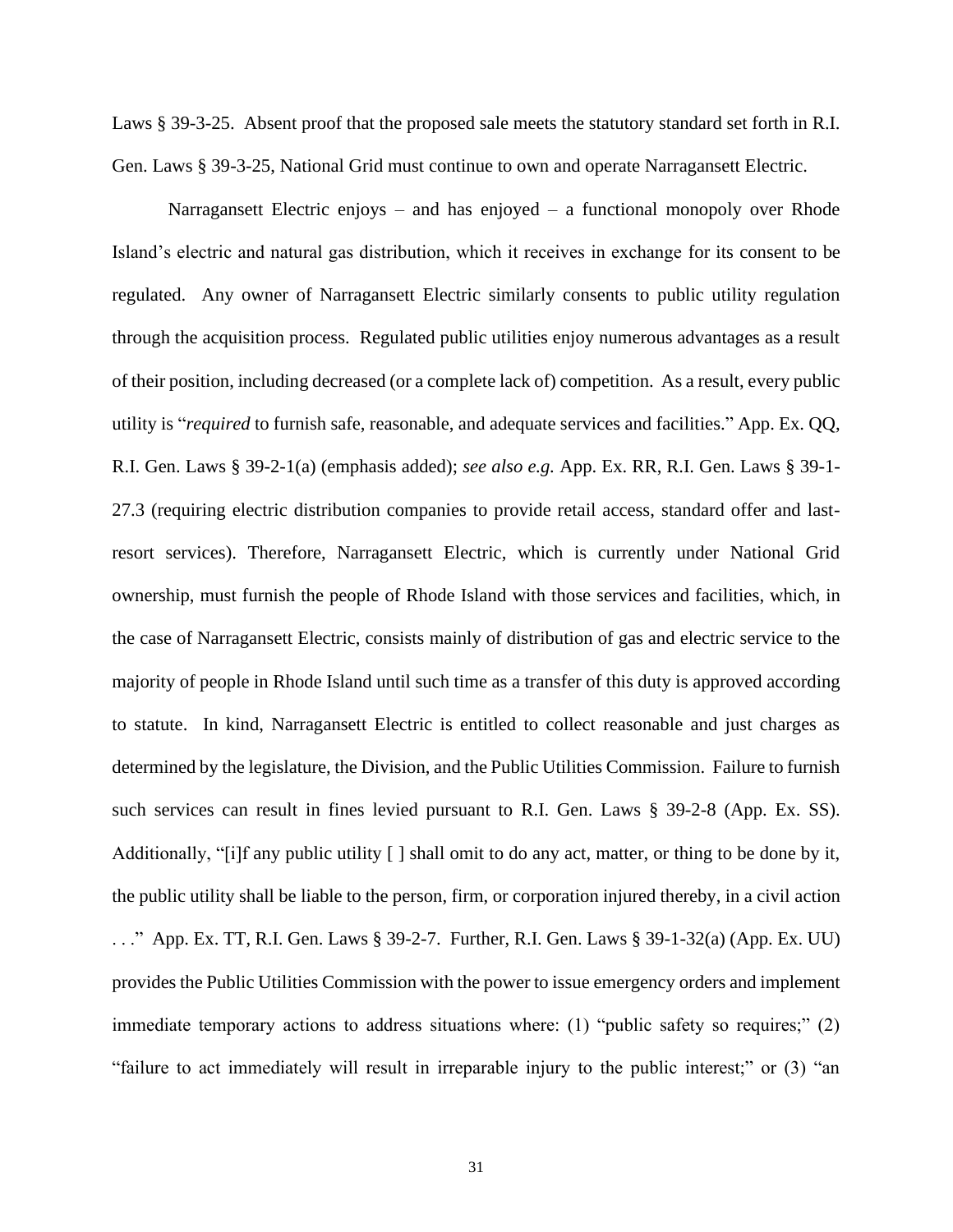Laws § 39-3-25. Absent proof that the proposed sale meets the statutory standard set forth in R.I. Gen. Laws § 39-3-25, National Grid must continue to own and operate Narragansett Electric.

Narragansett Electric enjoys – and has enjoyed – a functional monopoly over Rhode Island's electric and natural gas distribution, which it receives in exchange for its consent to be regulated. Any owner of Narragansett Electric similarly consents to public utility regulation through the acquisition process. Regulated public utilities enjoy numerous advantages as a result of their position, including decreased (or a complete lack of) competition. As a result, every public utility is "*required* to furnish safe, reasonable, and adequate services and facilities." App. Ex. QQ, R.I. Gen. Laws § 39-2-1(a) (emphasis added); *see also e.g.* App. Ex. RR, R.I. Gen. Laws § 39-1- 27.3 (requiring electric distribution companies to provide retail access, standard offer and lastresort services). Therefore, Narragansett Electric, which is currently under National Grid ownership, must furnish the people of Rhode Island with those services and facilities, which, in the case of Narragansett Electric, consists mainly of distribution of gas and electric service to the majority of people in Rhode Island until such time as a transfer of this duty is approved according to statute. In kind, Narragansett Electric is entitled to collect reasonable and just charges as determined by the legislature, the Division, and the Public Utilities Commission. Failure to furnish such services can result in fines levied pursuant to R.I. Gen. Laws § 39-2-8 (App. Ex. SS). Additionally, "[i]f any public utility [ ] shall omit to do any act, matter, or thing to be done by it, the public utility shall be liable to the person, firm, or corporation injured thereby, in a civil action . . ." App. Ex. TT, R.I. Gen. Laws § 39-2-7. Further, R.I. Gen. Laws § 39-1-32(a) (App. Ex. UU) provides the Public Utilities Commission with the power to issue emergency orders and implement immediate temporary actions to address situations where: (1) "public safety so requires;" (2) "failure to act immediately will result in irreparable injury to the public interest;" or (3) "an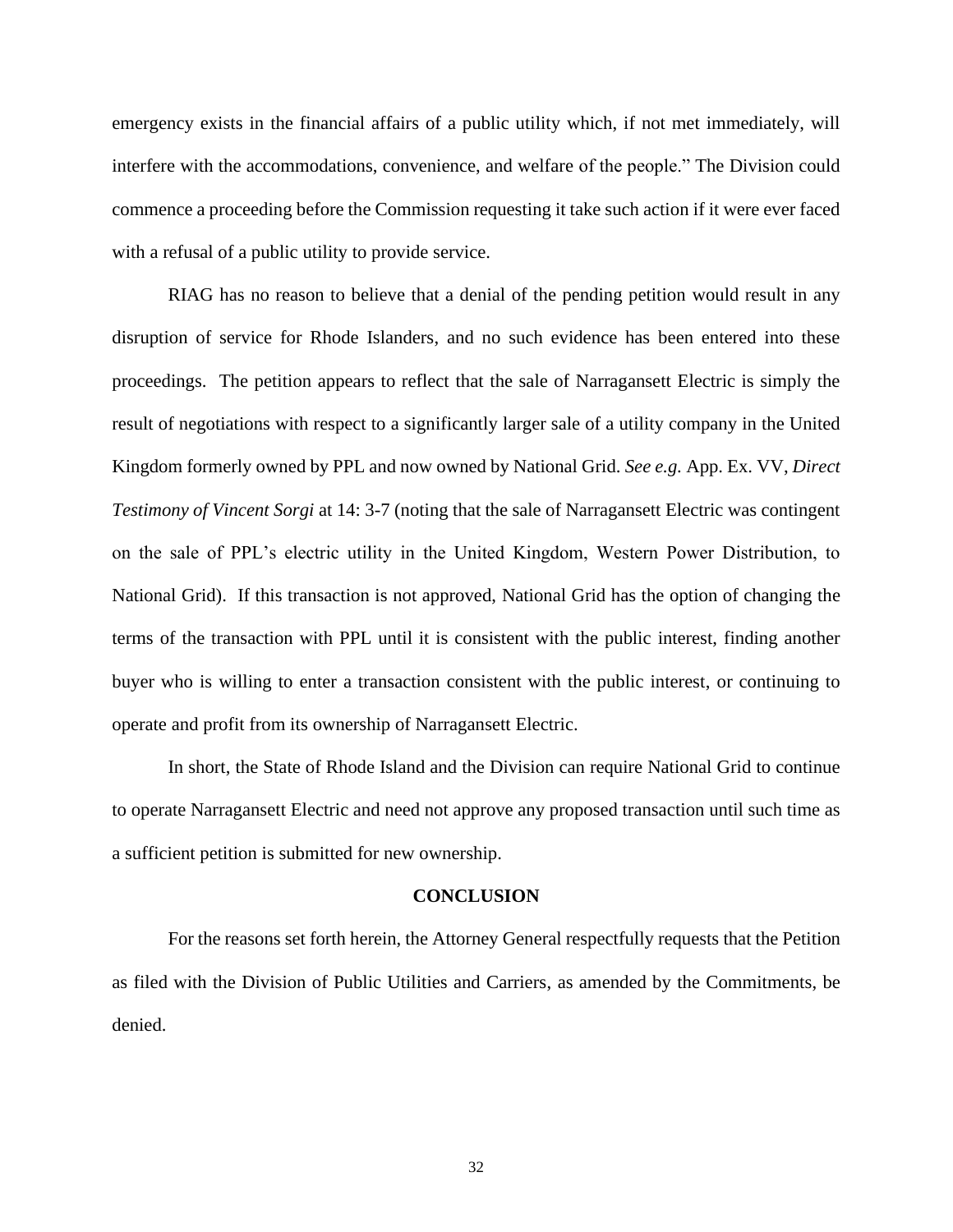emergency exists in the financial affairs of a public utility which, if not met immediately, will interfere with the accommodations, convenience, and welfare of the people." The Division could commence a proceeding before the Commission requesting it take such action if it were ever faced with a refusal of a public utility to provide service.

RIAG has no reason to believe that a denial of the pending petition would result in any disruption of service for Rhode Islanders, and no such evidence has been entered into these proceedings. The petition appears to reflect that the sale of Narragansett Electric is simply the result of negotiations with respect to a significantly larger sale of a utility company in the United Kingdom formerly owned by PPL and now owned by National Grid. *See e.g.* App. Ex. VV, *Direct Testimony of Vincent Sorgi* at 14: 3-7 (noting that the sale of Narragansett Electric was contingent on the sale of PPL's electric utility in the United Kingdom, Western Power Distribution, to National Grid). If this transaction is not approved, National Grid has the option of changing the terms of the transaction with PPL until it is consistent with the public interest, finding another buyer who is willing to enter a transaction consistent with the public interest, or continuing to operate and profit from its ownership of Narragansett Electric.

In short, the State of Rhode Island and the Division can require National Grid to continue to operate Narragansett Electric and need not approve any proposed transaction until such time as a sufficient petition is submitted for new ownership.

#### **CONCLUSION**

For the reasons set forth herein, the Attorney General respectfully requests that the Petition as filed with the Division of Public Utilities and Carriers, as amended by the Commitments, be denied.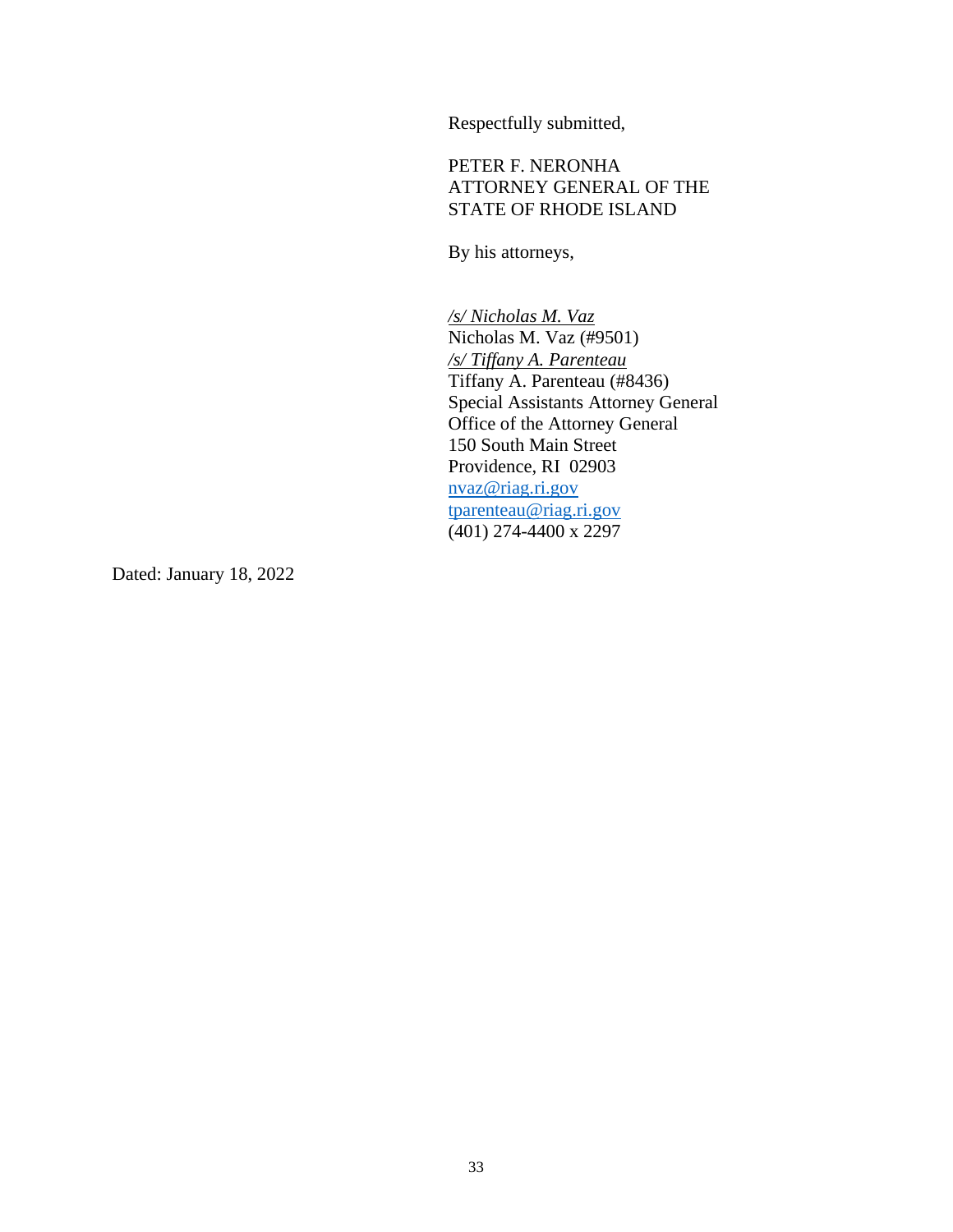Respectfully submitted,

PETER F. NERONHA ATTORNEY GENERAL OF THE STATE OF RHODE ISLAND

By his attorneys,

*/s/ Nicholas M. Vaz* Nicholas M. Vaz (#9501) */s/ Tiffany A. Parenteau* Tiffany A. Parenteau (#8436) Special Assistants Attorney General Office of the Attorney General 150 South Main Street Providence, RI 02903 [nvaz@riag.ri.gov](mailto:nvaz@riag.ri.gov) [tparenteau@riag.ri.gov](mailto:tparenteau@riag.ri.gov) (401) 274-4400 x 2297

Dated: January 18, 2022